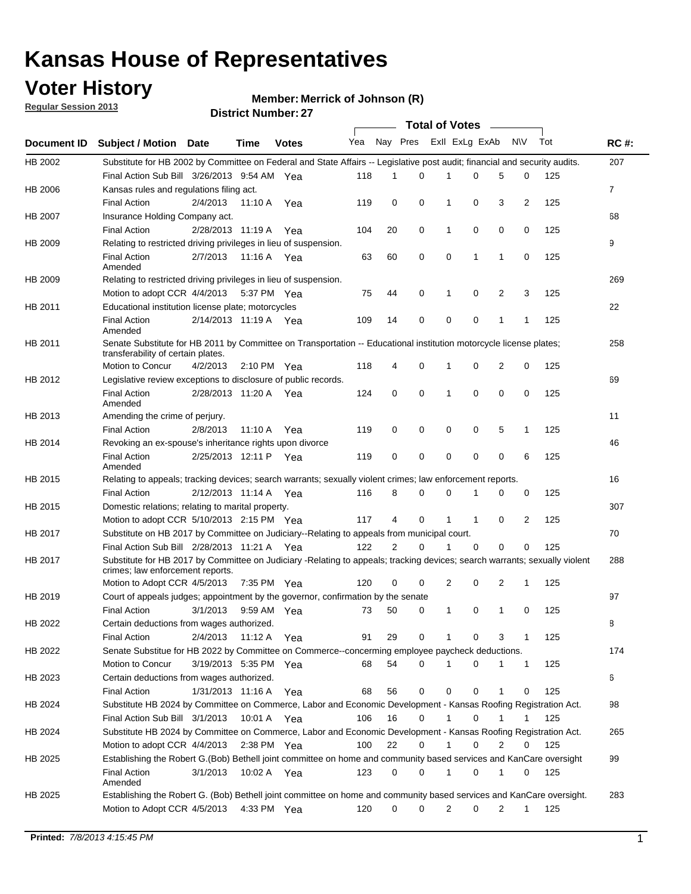## **Voter History**

**Member: Merrick of Johnson (R)** 

**Regular Session 2013**

|             |                                                                                                                                                                |                       |             |               |     |          |             | <b>Total of Votes</b> |   |                |                |     |             |
|-------------|----------------------------------------------------------------------------------------------------------------------------------------------------------------|-----------------------|-------------|---------------|-----|----------|-------------|-----------------------|---|----------------|----------------|-----|-------------|
| Document ID | Subject / Motion Date                                                                                                                                          |                       | Time        | <b>Votes</b>  | Yea | Nay Pres |             | Exll ExLg ExAb        |   |                | <b>NV</b>      | Tot | <b>RC#:</b> |
| HB 2002     | Substitute for HB 2002 by Committee on Federal and State Affairs -- Legislative post audit; financial and security audits.                                     |                       |             |               |     |          |             |                       |   |                |                |     | 207         |
|             | Final Action Sub Bill 3/26/2013 9:54 AM Yea                                                                                                                    |                       |             |               | 118 | 1        | 0           | 1                     | 0 | 5              | 0              | 125 |             |
| HB 2006     | Kansas rules and regulations filing act.                                                                                                                       |                       |             |               |     |          |             |                       |   |                |                |     | 7           |
|             | <b>Final Action</b>                                                                                                                                            | 2/4/2013              |             | 11:10 A Yea   | 119 | 0        | 0           | 1                     | 0 | 3              | 2              | 125 |             |
| HB 2007     | Insurance Holding Company act.                                                                                                                                 |                       |             |               |     |          |             |                       |   |                |                |     | 68          |
|             | <b>Final Action</b>                                                                                                                                            | 2/28/2013 11:19 A     |             | Yea           | 104 | 20       | 0           | 1                     | 0 | 0              | 0              | 125 |             |
| HB 2009     | Relating to restricted driving privileges in lieu of suspension.                                                                                               |                       |             |               |     |          |             |                       |   |                |                |     | 9           |
|             | <b>Final Action</b><br>Amended                                                                                                                                 | 2/7/2013              | 11:16 A     | Yea           | 63  | 60       | 0           | 0                     | 1 | $\mathbf{1}$   | 0              | 125 |             |
| HB 2009     | Relating to restricted driving privileges in lieu of suspension.                                                                                               |                       |             |               |     |          |             |                       |   |                |                |     | 269         |
|             | Motion to adopt CCR 4/4/2013                                                                                                                                   |                       |             | 5:37 PM Yea   | 75  | 44       | 0           | 1                     | 0 | $\overline{2}$ | 3              | 125 |             |
| HB 2011     | Educational institution license plate; motorcycles                                                                                                             |                       |             |               |     |          |             |                       |   |                |                |     | 22          |
|             | <b>Final Action</b><br>Amended                                                                                                                                 | 2/14/2013 11:19 A Yea |             |               | 109 | 14       | 0           | 0                     | 0 | 1              | 1              | 125 |             |
| HB 2011     | Senate Substitute for HB 2011 by Committee on Transportation -- Educational institution motorcycle license plates;                                             |                       |             |               |     |          |             |                       |   |                |                |     | 258         |
|             | transferability of certain plates.                                                                                                                             |                       |             |               |     |          |             |                       |   |                |                |     |             |
|             | Motion to Concur                                                                                                                                               | 4/2/2013              |             | 2:10 PM $Yea$ | 118 | 4        | 0           | 1                     | 0 | 2              | 0              | 125 |             |
| HB 2012     | Legislative review exceptions to disclosure of public records.                                                                                                 |                       |             |               |     |          |             |                       |   |                |                |     | 69          |
|             | <b>Final Action</b><br>Amended                                                                                                                                 | 2/28/2013 11:20 A     |             | Yea           | 124 | 0        | $\mathbf 0$ | 1                     | 0 | 0              | 0              | 125 |             |
| HB 2013     | Amending the crime of perjury.                                                                                                                                 |                       |             |               |     |          |             |                       |   |                |                |     | 11          |
|             | <b>Final Action</b>                                                                                                                                            | 2/8/2013              | 11:10 A     | Yea           | 119 | 0        | 0           | 0                     | 0 | 5              | 1              | 125 |             |
| HB 2014     | Revoking an ex-spouse's inheritance rights upon divorce                                                                                                        |                       |             |               |     |          |             |                       |   |                |                |     | 46          |
|             | <b>Final Action</b><br>Amended                                                                                                                                 | 2/25/2013 12:11 P     |             | Yea           | 119 | 0        | 0           | 0                     | 0 | 0              | 6              | 125 |             |
| HB 2015     | Relating to appeals; tracking devices; search warrants; sexually violent crimes; law enforcement reports.                                                      |                       |             |               |     |          |             |                       |   |                |                |     | 16          |
|             | <b>Final Action</b>                                                                                                                                            | 2/12/2013 11:14 A Yea |             |               | 116 | 8        | 0           | $\Omega$              |   | 0              | 0              | 125 |             |
| HB 2015     | Domestic relations; relating to marital property.                                                                                                              |                       |             |               |     |          |             |                       |   |                |                |     | 307         |
|             | Motion to adopt CCR 5/10/2013 2:15 PM Yea                                                                                                                      |                       |             |               | 117 | 4        | $\Omega$    | 1                     | 1 | 0              | $\overline{2}$ | 125 |             |
| HB 2017     | Substitute on HB 2017 by Committee on Judiciary--Relating to appeals from municipal court.                                                                     |                       |             |               |     |          |             |                       |   |                |                |     | 70          |
|             | Final Action Sub Bill 2/28/2013 11:21 A Yea                                                                                                                    |                       |             |               | 122 | 2        | $\Omega$    | 1                     | 0 | 0              | 0              | 125 |             |
| HB 2017     | Substitute for HB 2017 by Committee on Judiciary -Relating to appeals; tracking devices; search warrants; sexually violent<br>crimes; law enforcement reports. |                       |             |               |     |          |             |                       |   |                |                |     | 288         |
|             | Motion to Adopt CCR 4/5/2013                                                                                                                                   |                       |             | 7:35 PM Yea   | 120 | 0        | 0           | 2                     | 0 | 2              | 1              | 125 |             |
| HB 2019     | Court of appeals judges; appointment by the governor, confirmation by the senate                                                                               |                       |             |               |     |          |             |                       |   |                |                |     | 97          |
|             | <b>Final Action</b>                                                                                                                                            | 3/1/2013              |             | 9:59 AM Yea   | 73  | 50       | 0           | 1                     | 0 | 1              | 0              | 125 |             |
| HB 2022     | Certain deductions from wages authorized.                                                                                                                      |                       |             |               |     |          |             |                       |   |                |                |     | В           |
|             | <b>Final Action</b>                                                                                                                                            | 2/4/2013              | 11:12 A Yea |               | 91  | 29       | 0           | 1                     | 0 | 3              | 1              | 125 |             |
| HB 2022     | Senate Substitue for HB 2022 by Committee on Commerce--concerming employee paycheck deductions.                                                                |                       |             |               |     |          |             |                       |   |                |                |     | 174         |
|             | Motion to Concur                                                                                                                                               | 3/19/2013 5:35 PM Yea |             |               | 68  | 54       | 0           | 1                     | 0 | 1              | 1              | 125 |             |
| HB 2023     | Certain deductions from wages authorized.                                                                                                                      |                       |             |               |     |          |             |                       |   |                |                |     | 6           |
|             | <b>Final Action</b>                                                                                                                                            | 1/31/2013 11:16 A Yea |             |               | 68  | 56       | 0           | 0                     | 0 | 1              | 0              | 125 |             |
| HB 2024     | Substitute HB 2024 by Committee on Commerce, Labor and Economic Development - Kansas Roofing Registration Act.                                                 |                       |             |               |     |          |             |                       |   |                |                |     | 98          |
|             | Final Action Sub Bill 3/1/2013 10:01 A Yea                                                                                                                     |                       |             |               | 106 | 16       | 0           | 1                     | 0 |                |                | 125 |             |
| HB 2024     | Substitute HB 2024 by Committee on Commerce, Labor and Economic Development - Kansas Roofing Registration Act.                                                 |                       |             |               |     |          |             |                       |   |                |                |     | 265         |
|             | Motion to adopt CCR 4/4/2013                                                                                                                                   |                       | 2:38 PM Yea |               | 100 | 22       | 0           |                       | 0 | 2              | 0              | 125 |             |
| HB 2025     | Establishing the Robert G.(Bob) Bethell joint committee on home and community based services and KanCare oversight                                             |                       |             |               |     |          |             |                       |   |                |                |     | 99          |
|             | <b>Final Action</b><br>Amended                                                                                                                                 | 3/1/2013              | 10:02 A Yea |               | 123 | 0        | 0           | 1                     | 0 | 1              | 0              | 125 |             |
| HB 2025     | Establishing the Robert G. (Bob) Bethell joint committee on home and community based services and KanCare oversight.                                           |                       |             |               |     |          |             |                       |   |                |                |     | 283         |
|             | Motion to Adopt CCR 4/5/2013                                                                                                                                   |                       |             | 4:33 PM Yea   | 120 | 0        | 0           | 2                     | 0 | 2              | $\mathbf{1}$   | 125 |             |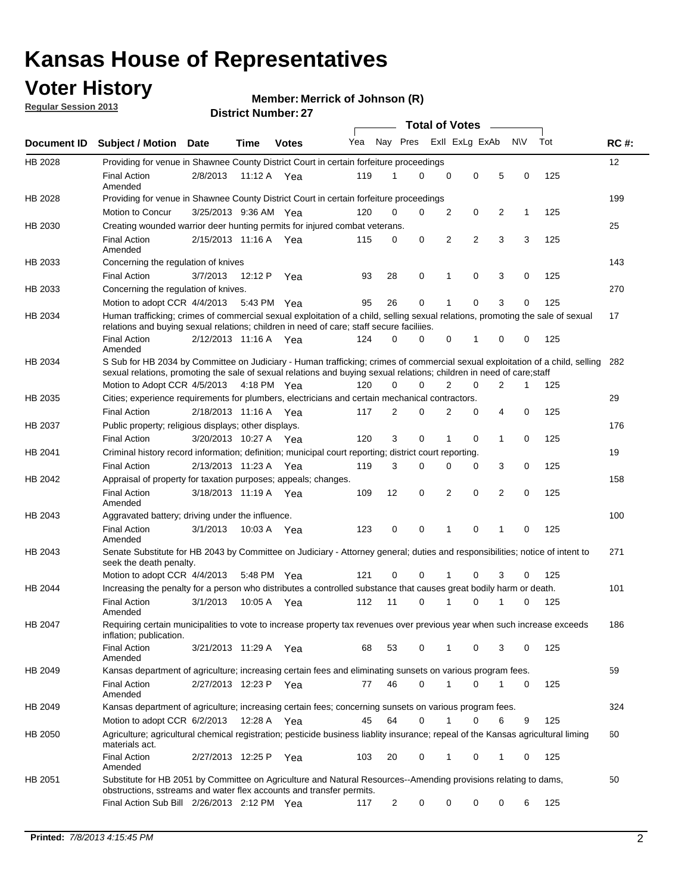## **Voter History**

**Merrick of Johnson (R)**

**Regular Session 2013**

|                |                                                                                                                                                                                                                                                        |                       |             |              |     |                         | <b>Total of Votes</b> |   |   |                |           |     |             |
|----------------|--------------------------------------------------------------------------------------------------------------------------------------------------------------------------------------------------------------------------------------------------------|-----------------------|-------------|--------------|-----|-------------------------|-----------------------|---|---|----------------|-----------|-----|-------------|
| Document ID    | <b>Subject / Motion</b>                                                                                                                                                                                                                                | Date                  | Time        | <b>Votes</b> | Yea | Nay Pres Exll ExLg ExAb |                       |   |   |                | <b>NV</b> | Tot | <b>RC#:</b> |
| HB 2028        | Providing for venue in Shawnee County District Court in certain forfeiture proceedings                                                                                                                                                                 |                       |             |              |     |                         |                       |   |   |                |           |     | 12          |
|                | <b>Final Action</b><br>Amended                                                                                                                                                                                                                         | 2/8/2013              | 11:12 A Yea |              | 119 | 1                       | $\Omega$              | 0 | 0 | 5              | 0         | 125 |             |
| HB 2028        | Providing for venue in Shawnee County District Court in certain forfeiture proceedings                                                                                                                                                                 |                       |             |              |     |                         |                       |   |   |                |           |     | 199         |
|                | Motion to Concur                                                                                                                                                                                                                                       | 3/25/2013 9:36 AM Yea |             |              | 120 | 0                       | 0                     | 2 | 0 | 2              | 1         | 125 |             |
| HB 2030        | Creating wounded warrior deer hunting permits for injured combat veterans.                                                                                                                                                                             |                       |             |              |     |                         |                       |   |   |                |           |     | 25          |
|                | <b>Final Action</b><br>Amended                                                                                                                                                                                                                         | 2/15/2013 11:16 A     |             | Yea          | 115 | 0                       | 0                     | 2 | 2 | 3              | 3         | 125 |             |
| HB 2033        | Concerning the regulation of knives                                                                                                                                                                                                                    |                       |             |              |     |                         |                       |   |   |                |           |     | 143         |
|                | <b>Final Action</b>                                                                                                                                                                                                                                    | 3/7/2013              | 12:12 P     | Yea          | 93  | 28                      | 0                     | 1 | 0 | 3              | 0         | 125 |             |
| HB 2033        | Concerning the regulation of knives.                                                                                                                                                                                                                   |                       |             |              |     |                         |                       |   |   |                |           |     | 270         |
|                | Motion to adopt CCR 4/4/2013                                                                                                                                                                                                                           |                       | 5:43 PM Yea |              | 95  | 26                      | 0                     |   | 0 | 3              | 0         | 125 |             |
| HB 2034        | Human trafficking; crimes of commercial sexual exploitation of a child, selling sexual relations, promoting the sale of sexual<br>relations and buying sexual relations; children in need of care; staff secure faciliies.                             |                       |             |              |     |                         |                       |   |   |                |           |     | 17          |
|                | <b>Final Action</b><br>Amended                                                                                                                                                                                                                         | 2/12/2013 11:16 A Yea |             |              | 124 | 0                       | 0                     | 0 | 1 | 0              | 0         | 125 |             |
| HB 2034        | S Sub for HB 2034 by Committee on Judiciary - Human trafficking; crimes of commercial sexual exploitation of a child, selling<br>sexual relations, promoting the sale of sexual relations and buying sexual relations; children in need of care; staff |                       |             |              |     |                         |                       |   |   |                |           |     | 282         |
|                | Motion to Adopt CCR 4/5/2013 4:18 PM Yea                                                                                                                                                                                                               |                       |             |              | 120 | 0                       | 0                     | 2 | 0 | $\overline{2}$ | 1         | 125 |             |
| HB 2035        | Cities; experience requirements for plumbers, electricians and certain mechanical contractors.                                                                                                                                                         |                       |             |              |     |                         |                       |   |   |                |           |     | 29          |
|                | <b>Final Action</b>                                                                                                                                                                                                                                    | 2/18/2013 11:16 A     |             | Yea          | 117 | 2                       | 0                     | 2 | 0 | 4              | 0         | 125 |             |
| HB 2037        | Public property; religious displays; other displays.                                                                                                                                                                                                   |                       |             |              |     |                         |                       |   |   |                |           |     | 176         |
|                | <b>Final Action</b>                                                                                                                                                                                                                                    | 3/20/2013 10:27 A Yea |             |              | 120 | 3                       | 0                     | 1 | 0 | 1              | 0         | 125 |             |
| HB 2041        | Criminal history record information; definition; municipal court reporting; district court reporting.                                                                                                                                                  |                       |             |              |     |                         |                       |   |   |                |           |     | 19          |
|                | <b>Final Action</b>                                                                                                                                                                                                                                    | 2/13/2013 11:23 A     |             | Yea          | 119 | 3                       | 0                     | 0 | 0 | 3              | 0         | 125 |             |
| HB 2042        | Appraisal of property for taxation purposes; appeals; changes.                                                                                                                                                                                         |                       |             |              |     |                         |                       |   |   |                |           |     | 158         |
|                | <b>Final Action</b><br>Amended                                                                                                                                                                                                                         | 3/18/2013 11:19 A     |             | Yea          | 109 | 12                      | 0                     | 2 | 0 | 2              | 0         | 125 |             |
| HB 2043        | Aggravated battery; driving under the influence.                                                                                                                                                                                                       |                       |             |              |     |                         |                       |   |   |                |           |     | 100         |
|                | <b>Final Action</b><br>Amended                                                                                                                                                                                                                         | 3/1/2013              | 10:03 A Yea |              | 123 | 0                       | 0                     | 1 | 0 | 1              | 0         | 125 |             |
| HB 2043        | Senate Substitute for HB 2043 by Committee on Judiciary - Attorney general; duties and responsibilities; notice of intent to<br>seek the death penalty.                                                                                                |                       |             |              |     |                         |                       |   |   |                |           |     | 271         |
|                | Motion to adopt CCR 4/4/2013                                                                                                                                                                                                                           |                       | 5:48 PM Yea |              | 121 | 0                       | 0                     |   | 0 | 3              | 0         | 125 |             |
| <b>HB 2044</b> | Increasing the penalty for a person who distributes a controlled substance that causes great bodily harm or death.                                                                                                                                     |                       |             |              |     |                         |                       |   |   |                |           |     | 101         |
|                | <b>Final Action</b><br>Amended                                                                                                                                                                                                                         | 3/1/2013              | 10:05 A     | Yea          | 112 | 11                      | $\Omega$              | 1 | 0 | 1              | 0         | 125 |             |
| HB 2047        | Requiring certain municipalities to vote to increase property tax revenues over previous year when such increase exceeds<br>inflation; publication.                                                                                                    |                       |             |              |     |                         |                       |   |   |                |           |     | 186         |
|                | <b>Final Action</b><br>Amended                                                                                                                                                                                                                         | 3/21/2013 11:29 A Yea |             |              | 68  | 53                      | 0                     |   | 0 | 3              | 0         | 125 |             |
| HB 2049        | Kansas department of agriculture; increasing certain fees and eliminating sunsets on various program fees.                                                                                                                                             |                       |             |              |     |                         |                       |   |   |                |           |     | 59          |
|                | <b>Final Action</b><br>Amended                                                                                                                                                                                                                         | 2/27/2013 12:23 P Yea |             |              | 77  | 46                      | 0                     |   | 0 | 1              | 0         | 125 |             |
| HB 2049        | Kansas department of agriculture; increasing certain fees; concerning sunsets on various program fees.                                                                                                                                                 |                       |             |              |     |                         |                       |   |   |                |           |     | 324         |
|                | Motion to adopt CCR 6/2/2013                                                                                                                                                                                                                           |                       | 12:28 A     | Yea          | 45  | 64                      | 0                     | 1 | 0 | 6              | 9         | 125 |             |
| HB 2050        | Agriculture; agricultural chemical registration; pesticide business liablity insurance; repeal of the Kansas agricultural liming<br>materials act.                                                                                                     |                       |             |              |     |                         |                       |   |   |                |           |     | 60          |
|                | <b>Final Action</b><br>Amended                                                                                                                                                                                                                         | 2/27/2013 12:25 P     |             | Yea          | 103 | 20                      | 0                     | 1 | 0 | 1              | 0         | 125 |             |
| HB 2051        | Substitute for HB 2051 by Committee on Agriculture and Natural Resources--Amending provisions relating to dams,<br>obstructions, sstreams and water flex accounts and transfer permits.                                                                |                       |             |              |     |                         |                       |   |   |                |           |     | 50          |
|                | Final Action Sub Bill 2/26/2013 2:12 PM Yea                                                                                                                                                                                                            |                       |             |              | 117 | 2                       | 0                     | 0 | 0 | 0              | 6         | 125 |             |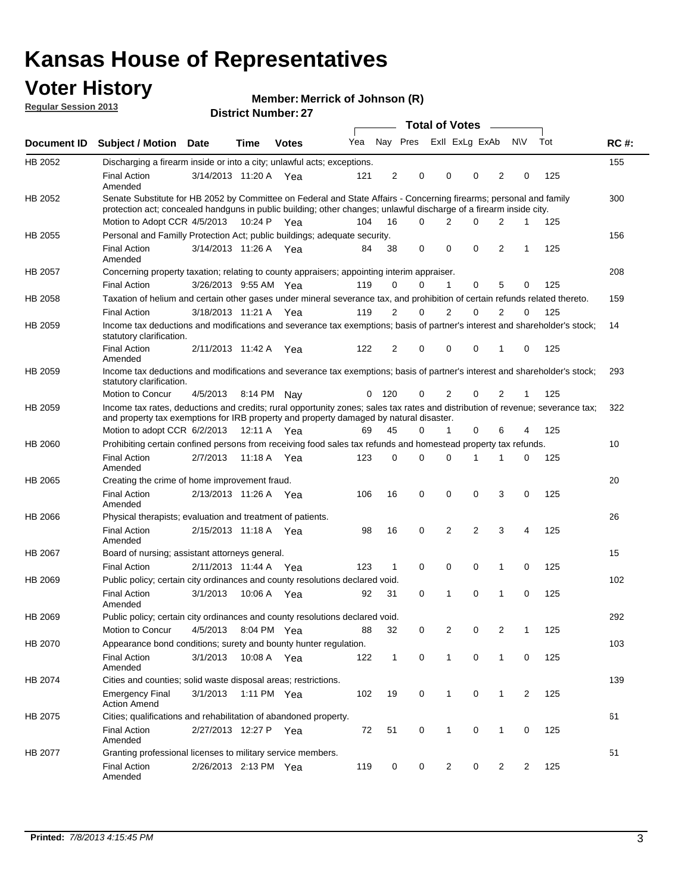## **Voter History**

**Merrick of Johnson (R)**

**Regular Session 2013**

|                |                                                                                                                                                                                                                                          |                       |             | PIJU IVI INUIIIVU . <i>LI</i> |     |                |                         | <b>Total of Votes</b> | $\sim$   |              |                |     |             |
|----------------|------------------------------------------------------------------------------------------------------------------------------------------------------------------------------------------------------------------------------------------|-----------------------|-------------|-------------------------------|-----|----------------|-------------------------|-----------------------|----------|--------------|----------------|-----|-------------|
| Document ID    | <b>Subject / Motion Date</b>                                                                                                                                                                                                             |                       | <b>Time</b> | <b>Votes</b>                  | Yea |                | Nay Pres Exll ExLg ExAb |                       |          |              | <b>NV</b>      | Tot | <b>RC#:</b> |
| HB 2052        | Discharging a firearm inside or into a city; unlawful acts; exceptions.                                                                                                                                                                  |                       |             |                               |     |                |                         |                       |          |              |                |     | 155         |
|                | <b>Final Action</b><br>Amended                                                                                                                                                                                                           | 3/14/2013 11:20 A Yea |             |                               | 121 | $\overline{2}$ | 0                       | 0                     | 0        | 2            | 0              | 125 |             |
| HB 2052        | Senate Substitute for HB 2052 by Committee on Federal and State Affairs - Concerning firearms; personal and family<br>protection act; concealed handguns in public building; other changes; unlawful discharge of a firearm inside city. |                       |             |                               |     |                |                         |                       |          |              |                |     | 300         |
|                | Motion to Adopt CCR 4/5/2013 10:24 P Yea                                                                                                                                                                                                 |                       |             |                               | 104 | 16             | 0                       | 2                     | 0        | 2            | 1              | 125 |             |
| HB 2055        | Personal and Familly Protection Act; public buildings; adequate security.                                                                                                                                                                |                       |             |                               |     |                |                         |                       |          |              |                |     | 156         |
|                | <b>Final Action</b><br>Amended                                                                                                                                                                                                           | 3/14/2013 11:26 A Yea |             |                               | 84  | 38             | 0                       | 0                     | 0        | 2            | 1              | 125 |             |
| HB 2057        | Concerning property taxation; relating to county appraisers; appointing interim appraiser.                                                                                                                                               |                       |             |                               |     |                |                         |                       |          |              |                |     | 208         |
|                | <b>Final Action</b>                                                                                                                                                                                                                      | 3/26/2013 9:55 AM Yea |             |                               | 119 | 0              | $\Omega$                | 1                     | 0        | 5            | 0              | 125 |             |
| HB 2058        | Taxation of helium and certain other gases under mineral severance tax, and prohibition of certain refunds related thereto.                                                                                                              |                       |             |                               |     |                |                         |                       |          |              |                |     | 159         |
|                | <b>Final Action</b>                                                                                                                                                                                                                      | 3/18/2013 11:21 A Yea |             |                               | 119 | 2              | $\Omega$                | 2                     | $\Omega$ | 2            | $\Omega$       | 125 |             |
| HB 2059        | Income tax deductions and modifications and severance tax exemptions; basis of partner's interest and shareholder's stock;<br>statutory clarification.                                                                                   |                       |             |                               |     |                |                         |                       |          |              |                |     | 14          |
|                | <b>Final Action</b><br>Amended                                                                                                                                                                                                           | 2/11/2013 11:42 A     |             | Yea                           | 122 | $\overline{2}$ | 0                       | 0                     | 0        | 1            | 0              | 125 |             |
| HB 2059        | Income tax deductions and modifications and severance tax exemptions; basis of partner's interest and shareholder's stock;<br>statutory clarification.                                                                                   |                       |             |                               |     |                |                         |                       |          |              |                |     | 293         |
|                | Motion to Concur                                                                                                                                                                                                                         | 4/5/2013              |             | 8:14 PM Nay                   | 0   | 120            | 0                       | 2                     | 0        | 2            | 1              | 125 |             |
| HB 2059        | Income tax rates, deductions and credits; rural opportunity zones; sales tax rates and distribution of revenue; severance tax;<br>and property tax exemptions for IRB property and property damaged by natural disaster.                 |                       |             |                               |     |                |                         |                       |          |              |                |     | 322         |
|                | Motion to adopt CCR 6/2/2013                                                                                                                                                                                                             |                       |             | 12:11 A Yea                   | 69  | 45             | 0                       | $\mathbf{1}$          | 0        | 6            | 4              | 125 |             |
| <b>HB 2060</b> | Prohibiting certain confined persons from receiving food sales tax refunds and homestead property tax refunds.                                                                                                                           |                       |             |                               |     |                |                         |                       |          |              |                |     | 10          |
|                | <b>Final Action</b><br>Amended                                                                                                                                                                                                           | 2/7/2013              | 11:18 A     | Yea                           | 123 | 0              | $\Omega$                | 0                     | 1        | 1            | 0              | 125 |             |
| HB 2065        | Creating the crime of home improvement fraud.                                                                                                                                                                                            |                       |             |                               |     |                |                         |                       |          |              |                |     | 20          |
|                | <b>Final Action</b><br>Amended                                                                                                                                                                                                           | 2/13/2013 11:26 A Yea |             |                               | 106 | 16             | 0                       | 0                     | 0        | 3            | 0              | 125 |             |
| HB 2066        | Physical therapists; evaluation and treatment of patients.                                                                                                                                                                               |                       |             |                               |     |                |                         |                       |          |              |                |     | 26          |
|                | <b>Final Action</b><br>Amended                                                                                                                                                                                                           | 2/15/2013 11:18 A Yea |             |                               | 98  | 16             | $\mathbf 0$             | 2                     | 2        | 3            | 4              | 125 |             |
| <b>HB 2067</b> | Board of nursing; assistant attorneys general.                                                                                                                                                                                           |                       |             |                               |     |                |                         |                       |          |              |                |     | 15          |
|                | <b>Final Action</b>                                                                                                                                                                                                                      | 2/11/2013 11:44 A Yea |             |                               | 123 | $\mathbf{1}$   | 0                       | 0                     | 0        | 1            | 0              | 125 |             |
| HB 2069        | Public policy; certain city ordinances and county resolutions declared void.                                                                                                                                                             |                       |             |                               |     |                |                         |                       |          |              |                |     | 102         |
|                | <b>Final Action</b><br>Amended                                                                                                                                                                                                           | 3/1/2013              |             | 10:06 A Yea                   | 92  | 31             | 0                       | 1                     | 0        | 1            | 0              | 125 |             |
| HB 2069        | Public policy; certain city ordinances and county resolutions declared void.                                                                                                                                                             |                       |             |                               |     |                |                         |                       |          |              |                |     | 292         |
|                | Motion to Concur                                                                                                                                                                                                                         | 4/5/2013              |             | 8:04 PM Yea                   | 88  | 32             | 0                       | 2                     | 0        | 2            | 1              | 125 |             |
| HB 2070        | Appearance bond conditions; surety and bounty hunter regulation.                                                                                                                                                                         |                       |             |                               |     |                |                         |                       |          |              |                |     | 103         |
|                | <b>Final Action</b><br>Amended                                                                                                                                                                                                           | 3/1/2013              |             | 10:08 A Yea                   | 122 | $\mathbf{1}$   | 0                       | $\mathbf{1}$          | 0        | $\mathbf{1}$ | 0              | 125 |             |
| HB 2074        | Cities and counties; solid waste disposal areas; restrictions.                                                                                                                                                                           |                       |             |                               |     |                |                         |                       |          |              |                |     | 139         |
|                | <b>Emergency Final</b><br><b>Action Amend</b>                                                                                                                                                                                            | 3/1/2013              |             | 1:11 PM Yea                   | 102 | 19             | 0                       | 1                     | 0        | $\mathbf{1}$ | $\overline{2}$ | 125 |             |
| HB 2075        | Cities; qualifications and rehabilitation of abandoned property.                                                                                                                                                                         |                       |             |                               |     |                |                         |                       |          |              |                |     | 61          |
|                | <b>Final Action</b><br>Amended                                                                                                                                                                                                           | 2/27/2013 12:27 P Yea |             |                               | 72  | 51             | 0                       | 1                     | 0        | 1            | 0              | 125 |             |
| HB 2077        | Granting professional licenses to military service members.<br><b>Final Action</b><br>Amended                                                                                                                                            | 2/26/2013 2:13 PM Yea |             |                               | 119 | 0              | 0                       | 2                     | 0        | 2            | 2              | 125 | 51          |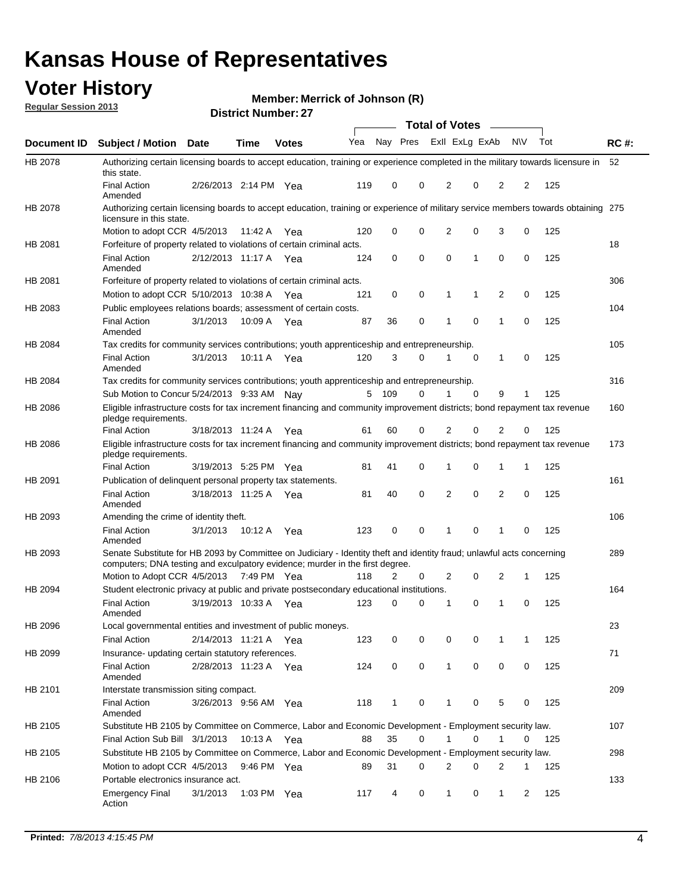## **Voter History**

**Merrick of Johnson (R)**

**Regular Session 2013**

|                    |                                                                                                                                                                                                       |                       |             | PIJU IVI INUHIDUI . <i>LI</i> |              |              |   | <b>Total of Votes</b> |             | $\sim$         |             |     |             |
|--------------------|-------------------------------------------------------------------------------------------------------------------------------------------------------------------------------------------------------|-----------------------|-------------|-------------------------------|--------------|--------------|---|-----------------------|-------------|----------------|-------------|-----|-------------|
| <b>Document ID</b> | <b>Subject / Motion Date</b>                                                                                                                                                                          |                       | <b>Time</b> | <b>Votes</b>                  | Yea Nay Pres |              |   | Exll ExLg ExAb        |             |                | <b>NV</b>   | Tot | <b>RC#:</b> |
| HB 2078            | Authorizing certain licensing boards to accept education, training or experience completed in the military towards licensure in<br>this state.                                                        |                       |             |                               |              |              |   |                       |             |                |             |     | 52          |
|                    | <b>Final Action</b><br>Amended                                                                                                                                                                        | 2/26/2013 2:14 PM Yea |             |                               | 119          | 0            | 0 | 2                     | 0           | 2              | 2           | 125 |             |
| HB 2078            | Authorizing certain licensing boards to accept education, training or experience of military service members towards obtaining 275<br>licensure in this state.                                        |                       |             |                               |              |              |   |                       |             |                |             |     |             |
|                    | Motion to adopt CCR 4/5/2013                                                                                                                                                                          |                       | 11:42 A     | Yea                           | 120          | 0            | 0 | $\overline{2}$        | 0           | 3              | 0           | 125 |             |
| HB 2081            | Forfeiture of property related to violations of certain criminal acts.                                                                                                                                |                       |             |                               |              |              |   |                       |             |                |             |     | 18          |
|                    | <b>Final Action</b><br>Amended                                                                                                                                                                        | 2/12/2013 11:17 A Yea |             |                               | 124          | 0            | 0 | $\Omega$              | 1           | 0              | 0           | 125 |             |
| HB 2081            | Forfeiture of property related to violations of certain criminal acts.                                                                                                                                |                       |             |                               |              |              |   |                       |             |                |             |     | 306         |
|                    | Motion to adopt CCR 5/10/2013 10:38 A                                                                                                                                                                 |                       |             | Yea                           | 121          | 0            | 0 | 1                     | 1           | 2              | 0           | 125 |             |
| HB 2083            | Public employees relations boards; assessment of certain costs.                                                                                                                                       |                       |             |                               |              |              |   |                       |             |                |             |     | 104         |
|                    | <b>Final Action</b><br>Amended                                                                                                                                                                        | 3/1/2013              | 10:09 A     | Yea                           | 87           | 36           | 0 | 1                     | $\mathbf 0$ | 1              | $\mathbf 0$ | 125 |             |
| HB 2084            | Tax credits for community services contributions; youth apprenticeship and entrepreneurship.                                                                                                          |                       |             |                               |              |              |   |                       |             |                |             |     | 105         |
|                    | <b>Final Action</b><br>Amended                                                                                                                                                                        | 3/1/2013              | 10:11 A     | Yea                           | 120          | 3            | 0 | 1                     | $\mathbf 0$ | 1              | 0           | 125 |             |
| HB 2084            | Tax credits for community services contributions; youth apprenticeship and entrepreneurship.                                                                                                          |                       |             |                               |              |              |   |                       |             |                |             |     | 316         |
|                    | Sub Motion to Concur 5/24/2013 9:33 AM Nav                                                                                                                                                            |                       |             |                               | 5            | - 109        | 0 |                       | $\Omega$    | 9              | 1           | 125 |             |
| HB 2086            | Eligible infrastructure costs for tax increment financing and community improvement districts; bond repayment tax revenue<br>pledge requirements.                                                     |                       |             |                               |              |              |   |                       |             |                |             |     | 160         |
|                    | <b>Final Action</b>                                                                                                                                                                                   | 3/18/2013 11:24 A     |             | Yea                           | 61           | 60           | 0 | 2                     | 0           | $\overline{2}$ | 0           | 125 |             |
| HB 2086            | Eligible infrastructure costs for tax increment financing and community improvement districts; bond repayment tax revenue<br>pledge requirements.                                                     |                       |             |                               |              |              |   |                       |             |                |             |     | 173         |
|                    | <b>Final Action</b>                                                                                                                                                                                   | 3/19/2013 5:25 PM Yea |             |                               | 81           | 41           | 0 | 1                     | 0           | 1              | 1           | 125 |             |
| HB 2091            | Publication of delinguent personal property tax statements.                                                                                                                                           |                       |             |                               |              |              |   |                       |             |                |             |     | 161         |
|                    | <b>Final Action</b><br>Amended                                                                                                                                                                        | 3/18/2013 11:25 A     |             | Yea                           | 81           | 40           | 0 | 2                     | 0           | $\overline{2}$ | 0           | 125 |             |
| HB 2093            | Amending the crime of identity theft.                                                                                                                                                                 |                       |             |                               |              |              |   |                       |             |                |             |     | 106         |
|                    | <b>Final Action</b><br>Amended                                                                                                                                                                        | 3/1/2013              | 10:12 A     | Yea                           | 123          | 0            | 0 | 1                     | $\Omega$    | 1              | 0           | 125 |             |
| HB 2093            | Senate Substitute for HB 2093 by Committee on Judiciary - Identity theft and identity fraud; unlawful acts concerning<br>computers; DNA testing and exculpatory evidence; murder in the first degree. |                       |             |                               |              |              |   |                       |             |                |             |     | 289         |
|                    | Motion to Adopt CCR 4/5/2013 7:49 PM Yea                                                                                                                                                              |                       |             |                               | 118          | 2            | 0 | 2                     | 0           | 2              | 1           | 125 |             |
| HB 2094            | Student electronic privacy at public and private postsecondary educational institutions.                                                                                                              |                       |             |                               |              |              |   |                       |             |                |             |     | 164         |
|                    | <b>Final Action</b><br>Amended                                                                                                                                                                        | 3/19/2013 10:33 A     |             | Yea                           | 123          | 0            | 0 | 1                     | 0           | 1              | 0           | 125 |             |
| HB 2096            | Local governmental entities and investment of public moneys.<br><b>Final Action</b>                                                                                                                   | 2/14/2013 11:21 A     |             | Yea                           | 123          | 0            | 0 | 0                     | 0           | 1              | 1           | 125 | 23          |
| HB 2099            | Insurance- updating certain statutory references.                                                                                                                                                     |                       |             |                               |              |              |   |                       |             |                |             |     | 71          |
|                    | <b>Final Action</b><br>Amended                                                                                                                                                                        | 2/28/2013 11:23 A     |             | Yea                           | 124          | 0            | 0 | 1                     | 0           | 0              | 0           | 125 |             |
| HB 2101            | Interstate transmission siting compact.                                                                                                                                                               |                       |             |                               |              |              |   |                       |             |                |             |     | 209         |
|                    | <b>Final Action</b><br>Amended                                                                                                                                                                        | 3/26/2013 9:56 AM Yea |             |                               | 118          | $\mathbf{1}$ | 0 | 1                     | 0           | 5              | 0           | 125 |             |
| HB 2105            | Substitute HB 2105 by Committee on Commerce, Labor and Economic Development - Employment security law.                                                                                                |                       |             |                               |              |              |   |                       |             |                |             |     | 107         |
|                    | Final Action Sub Bill 3/1/2013                                                                                                                                                                        |                       | 10:13 A Yea |                               | 88           | 35           | 0 |                       | 0           | 1              | 0           | 125 |             |
| HB 2105            | Substitute HB 2105 by Committee on Commerce, Labor and Economic Development - Employment security law.                                                                                                |                       |             |                               |              |              |   |                       |             |                |             |     | 298         |
|                    | Motion to adopt CCR 4/5/2013                                                                                                                                                                          |                       | 9:46 PM Yea |                               | 89           | 31           | 0 | 2                     | 0           | 2              | 1           | 125 |             |
| HB 2106            | Portable electronics insurance act.                                                                                                                                                                   |                       |             |                               |              |              |   |                       |             |                |             |     | 133         |
|                    | <b>Emergency Final</b><br>Action                                                                                                                                                                      | 3/1/2013              | 1:03 PM Yea |                               | 117          | 4            | 0 | $\mathbf{1}$          | 0           | $\mathbf{1}$   | 2           | 125 |             |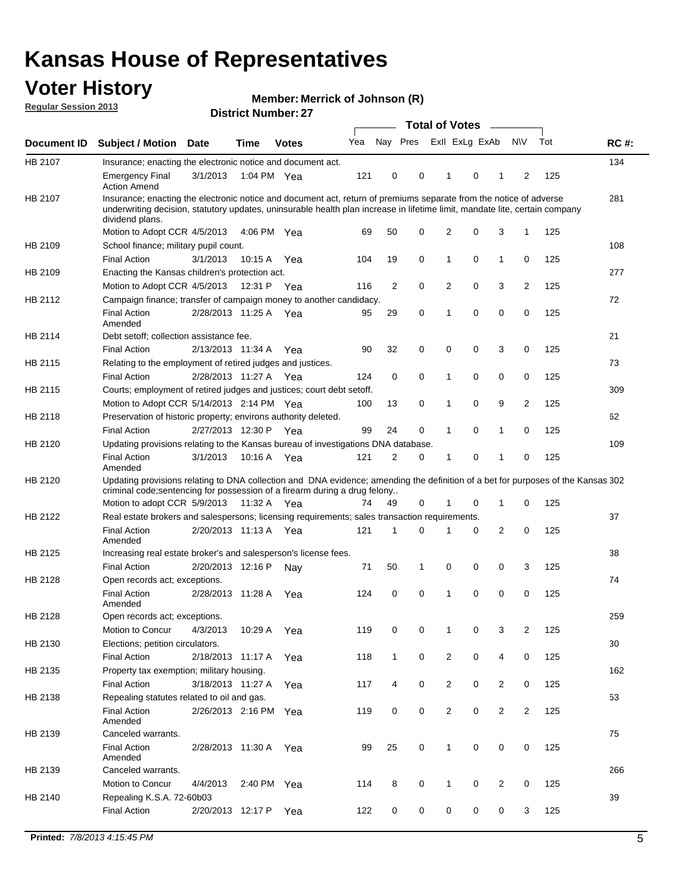## **Voter History**

**Merrick of Johnson (R)**

**Regular Session 2013**

|             |                                                                                                                                                                                                                                                                      |                       | PIJU IVI INUI IIVU . <i>LI</i> |              |     |              | <b>Total of Votes</b> |                |   | $\sim$         |                |     |             |
|-------------|----------------------------------------------------------------------------------------------------------------------------------------------------------------------------------------------------------------------------------------------------------------------|-----------------------|--------------------------------|--------------|-----|--------------|-----------------------|----------------|---|----------------|----------------|-----|-------------|
| Document ID | <b>Subject / Motion Date</b>                                                                                                                                                                                                                                         |                       | <b>Time</b>                    | <b>Votes</b> | Yea | Nay Pres     |                       | Exll ExLg ExAb |   |                | <b>NV</b>      | Tot | <b>RC#:</b> |
| HB 2107     | Insurance; enacting the electronic notice and document act.                                                                                                                                                                                                          |                       |                                |              |     |              |                       |                |   |                |                |     | 134         |
|             | <b>Emergency Final</b><br><b>Action Amend</b>                                                                                                                                                                                                                        | 3/1/2013              | 1:04 PM Yea                    |              | 121 | 0            | 0                     | 1              | 0 | 1              | 2              | 125 |             |
| HB 2107     | Insurance; enacting the electronic notice and document act, return of premiums separate from the notice of adverse<br>underwriting decision, statutory updates, uninsurable health plan increase in lifetime limit, mandate lite, certain company<br>dividend plans. |                       |                                |              |     |              |                       |                |   |                |                |     | 281         |
|             | Motion to Adopt CCR 4/5/2013                                                                                                                                                                                                                                         |                       | 4:06 PM Yea                    |              | 69  | 50           | 0                     | 2              | 0 | 3              | $\mathbf{1}$   | 125 |             |
| HB 2109     | School finance; military pupil count.                                                                                                                                                                                                                                |                       |                                |              |     |              |                       |                |   |                |                |     | 108         |
|             | <b>Final Action</b>                                                                                                                                                                                                                                                  | 3/1/2013              | 10:15 A                        | Yea          | 104 | 19           | 0                     | 1              | 0 | $\mathbf{1}$   | 0              | 125 |             |
| HB 2109     | Enacting the Kansas children's protection act.                                                                                                                                                                                                                       |                       |                                |              |     |              |                       |                |   |                |                |     | 277         |
|             | Motion to Adopt CCR 4/5/2013                                                                                                                                                                                                                                         |                       | 12:31 P Yea                    |              | 116 | 2            | 0                     | $\overline{2}$ | 0 | 3              | 2              | 125 |             |
| HB 2112     | Campaign finance; transfer of campaign money to another candidacy.                                                                                                                                                                                                   |                       |                                |              |     |              |                       |                |   |                |                |     | 72          |
|             | <b>Final Action</b><br>Amended                                                                                                                                                                                                                                       | 2/28/2013 11:25 A Yea |                                |              | 95  | 29           | 0                     | 1              | 0 | 0              | 0              | 125 |             |
| HB 2114     | Debt setoff: collection assistance fee.                                                                                                                                                                                                                              |                       |                                |              |     |              |                       |                |   |                |                |     | 21          |
|             | <b>Final Action</b>                                                                                                                                                                                                                                                  | 2/13/2013 11:34 A     |                                | Yea          | 90  | 32           | 0                     | 0              | 0 | 3              | 0              | 125 |             |
| HB 2115     | Relating to the employment of retired judges and justices.                                                                                                                                                                                                           |                       |                                |              |     |              |                       |                |   |                |                |     | 73          |
|             | <b>Final Action</b>                                                                                                                                                                                                                                                  | 2/28/2013 11:27 A     |                                | Yea          | 124 | 0            | 0                     | 1              | 0 | 0              | 0              | 125 |             |
| HB 2115     | Courts; employment of retired judges and justices; court debt setoff.                                                                                                                                                                                                |                       |                                |              |     |              |                       |                |   |                |                |     | 309         |
|             | Motion to Adopt CCR 5/14/2013 2:14 PM Yea                                                                                                                                                                                                                            |                       |                                |              | 100 | 13           | 0                     | 1              | 0 | 9              | 2              | 125 |             |
| HB 2118     | Preservation of historic property; environs authority deleted.                                                                                                                                                                                                       |                       |                                |              |     |              |                       |                |   |                |                |     | 62          |
|             | <b>Final Action</b>                                                                                                                                                                                                                                                  | 2/27/2013 12:30 P     |                                | Yea          | 99  | 24           | 0                     | 1              | 0 | $\mathbf{1}$   | 0              | 125 |             |
| HB 2120     | Updating provisions relating to the Kansas bureau of investigations DNA database.                                                                                                                                                                                    |                       |                                |              |     |              |                       |                |   |                |                |     | 109         |
|             | <b>Final Action</b><br>Amended                                                                                                                                                                                                                                       | 3/1/2013              | 10:16 A                        | Yea          | 121 | 2            | 0                     | 1              | 0 | 1              | 0              | 125 |             |
| HB 2120     | Updating provisions relating to DNA collection and DNA evidence; amending the definition of a bet for purposes of the Kansas 302<br>criminal code; sentencing for possession of a firearm during a drug felony                                                       |                       |                                |              |     |              |                       |                |   |                |                |     |             |
|             | Motion to adopt CCR 5/9/2013                                                                                                                                                                                                                                         |                       | 11:32 A Yea                    |              | 74  | 49           | 0                     | 1              | 0 | $\mathbf{1}$   | 0              | 125 |             |
| HB 2122     | Real estate brokers and salespersons; licensing requirements; sales transaction requirements.                                                                                                                                                                        |                       |                                |              |     |              |                       |                |   |                |                |     | 37          |
|             | <b>Final Action</b><br>Amended                                                                                                                                                                                                                                       | 2/20/2013 11:13 A Yea |                                |              | 121 | 1            | 0                     |                | 0 | 2              | 0              | 125 |             |
| HB 2125     | Increasing real estate broker's and salesperson's license fees.                                                                                                                                                                                                      |                       |                                |              |     |              |                       |                |   |                |                |     | 38          |
|             | <b>Final Action</b>                                                                                                                                                                                                                                                  | 2/20/2013 12:16 P     |                                | Nay          | 71  | 50           | 1                     | 0              | 0 | 0              | 3              | 125 |             |
| HB 2128     | Open records act; exceptions.                                                                                                                                                                                                                                        |                       |                                |              |     |              |                       |                |   |                |                |     | 74          |
|             | <b>Final Action</b><br>Amended                                                                                                                                                                                                                                       | 2/28/2013 11:28 A     |                                | Yea          | 124 | 0            | 0                     | 1              | 0 | 0              | 0              | 125 |             |
| HB 2128     | Open records act; exceptions.                                                                                                                                                                                                                                        |                       |                                |              |     |              |                       |                |   |                |                |     | 259         |
|             | Motion to Concur                                                                                                                                                                                                                                                     | 4/3/2013              | 10:29 A                        | Yea          | 119 | 0            | 0                     | 1              | 0 | 3              | 2              | 125 |             |
| HB 2130     | Elections; petition circulators.                                                                                                                                                                                                                                     |                       |                                |              |     |              |                       |                |   |                |                |     | 30          |
|             | <b>Final Action</b>                                                                                                                                                                                                                                                  | 2/18/2013 11:17 A     |                                | Yea          | 118 | $\mathbf{1}$ | 0                     | $\overline{c}$ | 0 | 4              | 0              | 125 |             |
| HB 2135     | Property tax exemption; military housing.                                                                                                                                                                                                                            |                       |                                |              |     |              |                       |                |   |                |                |     | 162         |
|             | <b>Final Action</b>                                                                                                                                                                                                                                                  | 3/18/2013 11:27 A     |                                | Yea          | 117 | 4            | 0                     | $\overline{2}$ | 0 | 2              | 0              | 125 |             |
| HB 2138     | Repealing statutes related to oil and gas.                                                                                                                                                                                                                           |                       |                                |              |     |              |                       |                |   |                |                |     | 53          |
|             | <b>Final Action</b><br>Amended                                                                                                                                                                                                                                       | 2/26/2013 2:16 PM Yea |                                |              | 119 | 0            | 0                     | 2              | 0 | $\overline{2}$ | $\overline{2}$ | 125 |             |
| HB 2139     | Canceled warrants.                                                                                                                                                                                                                                                   |                       |                                |              |     |              |                       |                |   |                |                |     | 75          |
|             | <b>Final Action</b><br>Amended                                                                                                                                                                                                                                       | 2/28/2013 11:30 A     |                                | Yea          | 99  | 25           | 0                     | 1              | 0 | 0              | 0              | 125 |             |
| HB 2139     | Canceled warrants.                                                                                                                                                                                                                                                   |                       |                                |              |     |              |                       |                |   |                |                |     | 266         |
|             | Motion to Concur                                                                                                                                                                                                                                                     | 4/4/2013              | 2:40 PM Yea                    |              | 114 | 8            | 0                     | 1              | 0 | 2              | 0              | 125 |             |
| HB 2140     | Repealing K.S.A. 72-60b03                                                                                                                                                                                                                                            |                       |                                |              |     |              |                       |                |   |                |                |     | 39          |
|             | <b>Final Action</b>                                                                                                                                                                                                                                                  | 2/20/2013 12:17 P     |                                | Yea          | 122 | 0            | 0                     | 0              | 0 | 0              | 3              | 125 |             |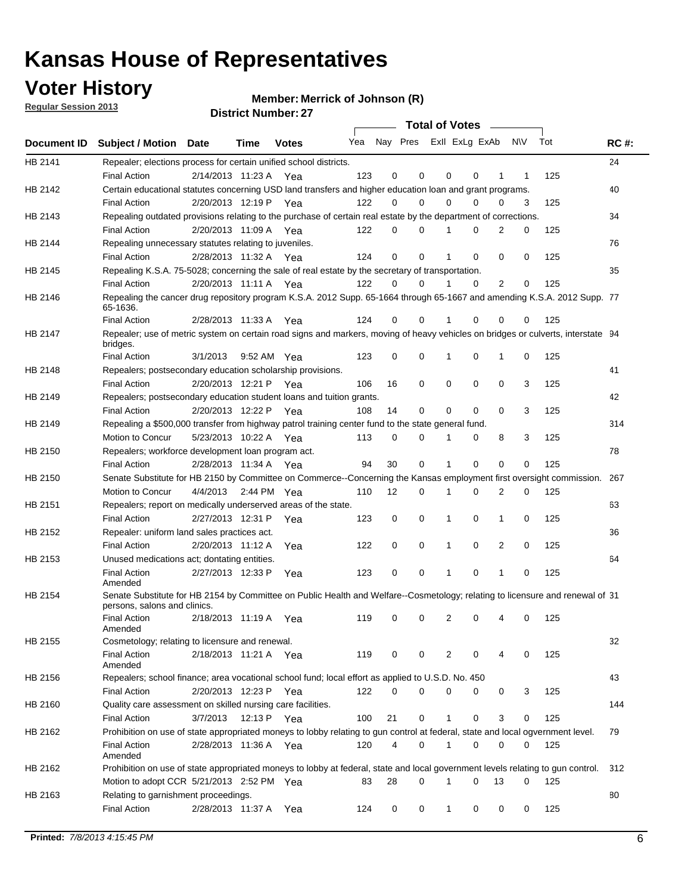**Voter History** 

**Merrick of Johnson (R)**

**Regular Session 2013**

|             |                                                                                                                                              |          |                       |              |     |             | <b>Total of Votes</b>   |              |   | <b>Contract Contract</b> |           |     |             |
|-------------|----------------------------------------------------------------------------------------------------------------------------------------------|----------|-----------------------|--------------|-----|-------------|-------------------------|--------------|---|--------------------------|-----------|-----|-------------|
| Document ID | <b>Subject / Motion Date</b>                                                                                                                 |          | Time                  | <b>Votes</b> | Yea |             | Nay Pres ExII ExLg ExAb |              |   |                          | <b>NV</b> | Tot | <b>RC#:</b> |
| HB 2141     | Repealer; elections process for certain unified school districts.                                                                            |          |                       |              |     |             |                         |              |   |                          |           |     | 24          |
|             | <b>Final Action</b>                                                                                                                          |          | 2/14/2013 11:23 A Yea |              | 123 | 0           | 0                       | 0            | 0 | 1                        | 1         | 125 |             |
| HB 2142     | Certain educational statutes concerning USD land transfers and higher education loan and grant programs.                                     |          |                       |              |     |             |                         |              |   |                          |           |     | 40          |
|             | <b>Final Action</b>                                                                                                                          |          | 2/20/2013 12:19 P Yea |              | 122 | 0           | 0                       | 0            | 0 | $\Omega$                 | 3         | 125 |             |
| HB 2143     | Repealing outdated provisions relating to the purchase of certain real estate by the department of corrections.                              |          |                       |              |     |             |                         |              |   |                          |           |     | 34          |
|             | <b>Final Action</b>                                                                                                                          |          | 2/20/2013 11:09 A Yea |              | 122 | 0           | 0                       | 1            | 0 | $\overline{2}$           | 0         | 125 |             |
| HB 2144     | Repealing unnecessary statutes relating to juveniles.                                                                                        |          |                       |              |     |             |                         |              |   |                          |           |     | 76          |
|             | <b>Final Action</b>                                                                                                                          |          | 2/28/2013 11:32 A Yea |              | 124 | $\mathbf 0$ | 0                       | 1            | 0 | 0                        | 0         | 125 |             |
| HB 2145     | Repealing K.S.A. 75-5028; concerning the sale of real estate by the secretary of transportation.                                             |          |                       |              |     |             |                         |              |   |                          |           |     | 35          |
|             | <b>Final Action</b>                                                                                                                          |          | 2/20/2013 11:11 A Yea |              | 122 | 0           | 0                       | 1            | 0 | 2                        | 0         | 125 |             |
| HB 2146     | Repealing the cancer drug repository program K.S.A. 2012 Supp. 65-1664 through 65-1667 and amending K.S.A. 2012 Supp. 77<br>65-1636.         |          |                       |              |     |             |                         |              |   |                          |           |     |             |
|             | <b>Final Action</b>                                                                                                                          |          | 2/28/2013 11:33 A     | Yea          | 124 | 0           | 0                       | 1            | 0 | 0                        | 0         | 125 |             |
| HB 2147     | Repealer; use of metric system on certain road signs and markers, moving of heavy vehicles on bridges or culverts, interstate 94<br>bridges. |          |                       |              |     |             |                         |              |   |                          |           |     |             |
|             | <b>Final Action</b>                                                                                                                          | 3/1/2013 |                       | 9:52 AM Yea  | 123 | $\mathbf 0$ | 0                       |              | 0 | 1                        | 0         | 125 |             |
| HB 2148     | Repealers; postsecondary education scholarship provisions.                                                                                   |          |                       |              |     |             |                         |              |   |                          |           |     | 41          |
|             | <b>Final Action</b>                                                                                                                          |          | 2/20/2013 12:21 P     | Yea          | 106 | 16          | 0                       | $\mathbf 0$  | 0 | $\mathbf 0$              | 3         | 125 |             |
| HB 2149     | Repealers; postsecondary education student loans and tuition grants.                                                                         |          |                       |              |     |             |                         |              |   |                          |           |     | 42          |
|             | <b>Final Action</b>                                                                                                                          |          | 2/20/2013 12:22 P     | Yea          | 108 | 14          | 0                       | 0            | 0 | $\Omega$                 | 3         | 125 |             |
| HB 2149     | Repealing a \$500,000 transfer from highway patrol training center fund to the state general fund.                                           |          |                       |              |     |             |                         |              |   |                          |           |     | 314         |
|             | Motion to Concur                                                                                                                             |          | 5/23/2013 10:22 A Yea |              | 113 | 0           | 0                       |              | 0 | 8                        | 3         | 125 |             |
| HB 2150     | Repealers; workforce development loan program act.                                                                                           |          |                       |              |     |             |                         |              |   |                          |           |     | 78          |
|             | <b>Final Action</b>                                                                                                                          |          | 2/28/2013 11:34 A Yea |              | 94  | 30          | 0                       | 1            | 0 | 0                        | 0         | 125 |             |
| HB 2150     | Senate Substitute for HB 2150 by Committee on Commerce--Concerning the Kansas employment first oversight commission.                         |          |                       |              |     |             |                         |              |   |                          |           |     | 267         |
|             | Motion to Concur                                                                                                                             |          | 4/4/2013 2:44 PM Yea  |              | 110 | 12          | 0                       | 1            | 0 | 2                        | 0         | 125 |             |
| HB 2151     | Repealers; report on medically underserved areas of the state.                                                                               |          |                       |              |     |             |                         |              |   |                          |           |     | 63          |
|             | <b>Final Action</b>                                                                                                                          |          | 2/27/2013 12:31 P     | Yea          | 123 | 0           | 0                       | 1            | 0 | 1                        | 0         | 125 |             |
| HB 2152     | Repealer: uniform land sales practices act.                                                                                                  |          |                       |              |     |             |                         |              |   |                          |           |     | 36          |
|             | <b>Final Action</b>                                                                                                                          |          | 2/20/2013 11:12 A     | Yea          | 122 | 0           | 0                       | 1            | 0 | 2                        | 0         | 125 |             |
| HB 2153     | Unused medications act; dontating entities.                                                                                                  |          |                       |              |     |             |                         |              |   |                          |           |     | 64          |
|             | <b>Final Action</b>                                                                                                                          |          | 2/27/2013 12:33 P     | Yea          | 123 | 0           | 0                       | 1            | 0 | $\mathbf{1}$             | 0         | 125 |             |
|             | Amended                                                                                                                                      |          |                       |              |     |             |                         |              |   |                          |           |     |             |
| HB 2154     | Senate Substitute for HB 2154 by Committee on Public Health and Welfare--Cosmetology; relating to licensure and renewal of 31                |          |                       |              |     |             |                         |              |   |                          |           |     |             |
|             | persons, salons and clinics.                                                                                                                 |          |                       |              |     |             |                         |              |   |                          |           |     |             |
|             | <b>Final Action</b><br>Amended                                                                                                               |          | 2/18/2013 11:19 A     | Yea          | 119 | 0           | 0                       | 2            | 0 | 4                        | 0         | 125 |             |
| HB 2155     | Cosmetology; relating to licensure and renewal.                                                                                              |          |                       |              |     |             |                         |              |   |                          |           |     | 32          |
|             | <b>Final Action</b>                                                                                                                          |          | 2/18/2013 11:21 A Yea |              | 119 | 0           | 0                       | 2            | 0 |                          | 0         | 125 |             |
|             | Amended                                                                                                                                      |          |                       |              |     |             |                         |              |   |                          |           |     |             |
| HB 2156     | Repealers; school finance; area vocational school fund; local effort as applied to U.S.D. No. 450                                            |          |                       |              |     |             |                         |              |   |                          |           |     | 43          |
|             | <b>Final Action</b>                                                                                                                          |          | 2/20/2013 12:23 P Yea |              | 122 | 0           | 0                       | 0            | 0 | 0                        | 3         | 125 |             |
| HB 2160     | Quality care assessment on skilled nursing care facilities.                                                                                  |          |                       |              |     |             |                         |              |   |                          |           |     | 144         |
|             | <b>Final Action</b>                                                                                                                          | 3/7/2013 |                       | 12:13 P Yea  | 100 | 21          | 0                       | 1            | 0 | 3                        | 0         | 125 |             |
| HB 2162     | Prohibition on use of state appropriated moneys to lobby relating to gun control at federal, state and local ogvernment level.               |          |                       |              |     |             |                         |              |   |                          |           |     | 79          |
|             | <b>Final Action</b>                                                                                                                          |          | 2/28/2013 11:36 A Yea |              | 120 | 4           | 0                       | 1            | 0 | 0                        | 0         | 125 |             |
|             | Amended                                                                                                                                      |          |                       |              |     |             |                         |              |   |                          |           |     |             |
| HB 2162     | Prohibition on use of state appropriated moneys to lobby at federal, state and local government levels relating to gun control.              |          |                       |              |     |             |                         |              |   |                          |           |     | 312         |
|             | Motion to adopt CCR 5/21/2013 2:52 PM Yea                                                                                                    |          |                       |              | 83  | 28          | 0                       |              | 0 | 13                       | 0         | 125 |             |
| HB 2163     | Relating to garnishment proceedings.                                                                                                         |          |                       |              |     |             |                         |              |   |                          |           |     | 80          |
|             | <b>Final Action</b>                                                                                                                          |          | 2/28/2013 11:37 A Yea |              | 124 | 0           | 0                       | $\mathbf{1}$ | 0 | 0                        | 0         | 125 |             |
|             |                                                                                                                                              |          |                       |              |     |             |                         |              |   |                          |           |     |             |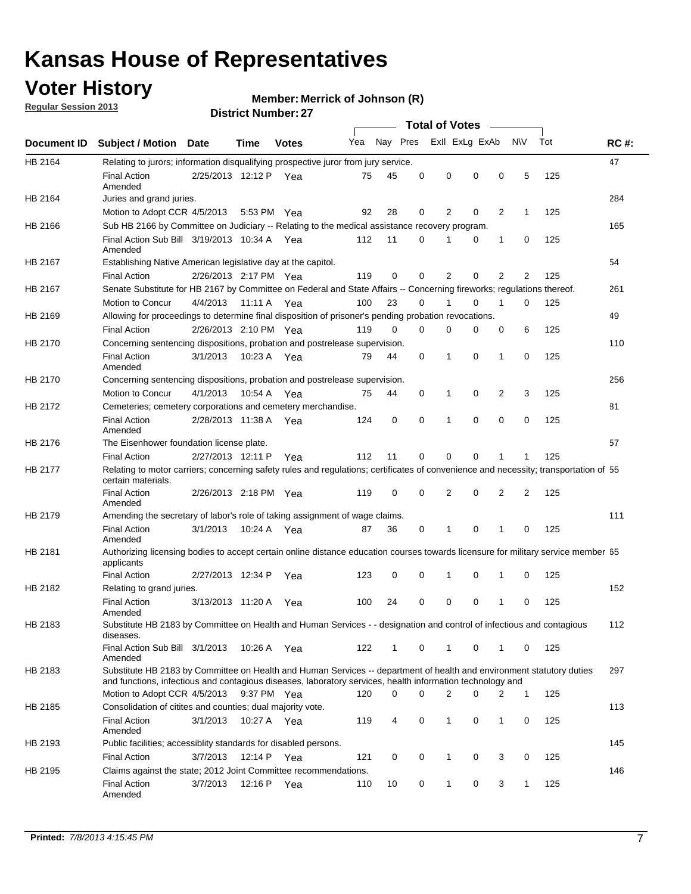## **Voter History**

**Merrick of Johnson (R)**

**Regular Session 2013**

|             |                                                                                                                                                                                                                                    |                       |             | ו א וסטוווטנו ועווווטכו |     |          |          | <b>Total of Votes</b> |          | $\sim$         |                |     |             |
|-------------|------------------------------------------------------------------------------------------------------------------------------------------------------------------------------------------------------------------------------------|-----------------------|-------------|-------------------------|-----|----------|----------|-----------------------|----------|----------------|----------------|-----|-------------|
| Document ID | <b>Subject / Motion Date</b>                                                                                                                                                                                                       |                       | Time        | <b>Votes</b>            | Yea | Nay Pres |          | Exll ExLg ExAb        |          |                | N\V            | Tot | <b>RC#:</b> |
| HB 2164     | Relating to jurors; information disqualifying prospective juror from jury service.                                                                                                                                                 |                       |             |                         |     |          |          |                       |          |                |                |     | 47          |
|             | <b>Final Action</b><br>Amended                                                                                                                                                                                                     | 2/25/2013 12:12 P Yea |             |                         | 75  | 45       | 0        | 0                     | 0        | 0              | 5              | 125 |             |
| HB 2164     | Juries and grand juries.                                                                                                                                                                                                           |                       |             |                         |     |          |          |                       |          |                |                |     | 284         |
|             | Motion to Adopt CCR 4/5/2013                                                                                                                                                                                                       |                       | 5:53 PM Yea |                         | 92  | 28       | 0        | 2                     | 0        | $\overline{2}$ | 1              | 125 |             |
| HB 2166     | Sub HB 2166 by Committee on Judiciary -- Relating to the medical assistance recovery program.                                                                                                                                      |                       |             |                         |     |          |          |                       |          |                |                |     | 165         |
|             | Final Action Sub Bill 3/19/2013 10:34 A Yea<br>Amended                                                                                                                                                                             |                       |             |                         | 112 | 11       | $\Omega$ |                       | 0        | 1              | 0              | 125 |             |
| HB 2167     | Establishing Native American legislative day at the capitol.                                                                                                                                                                       |                       |             |                         |     |          |          |                       |          |                |                |     | 54          |
|             | <b>Final Action</b>                                                                                                                                                                                                                | 2/26/2013 2:17 PM Yea |             |                         | 119 | 0        | $\Omega$ | 2                     | 0        | $\overline{2}$ | 2              | 125 |             |
| HB 2167     | Senate Substitute for HB 2167 by Committee on Federal and State Affairs -- Concerning fireworks; regulations thereof.                                                                                                              |                       |             |                         |     |          |          |                       |          |                |                |     | 261         |
|             | Motion to Concur                                                                                                                                                                                                                   | 4/4/2013              | 11:11 A Yea |                         | 100 | 23       | 0        | 1                     | 0        | 1              | 0              | 125 |             |
| HB 2169     | Allowing for proceedings to determine final disposition of prisoner's pending probation revocations.                                                                                                                               |                       |             |                         |     |          |          |                       |          |                |                |     | 49          |
|             | <b>Final Action</b>                                                                                                                                                                                                                | 2/26/2013 2:10 PM Yea |             |                         | 119 | 0        | 0        | 0                     | 0        | 0              | 6              | 125 |             |
| HB 2170     | Concerning sentencing dispositions, probation and postrelease supervision.                                                                                                                                                         |                       |             |                         |     |          |          |                       |          |                |                |     | 110         |
|             | <b>Final Action</b><br>Amended                                                                                                                                                                                                     | 3/1/2013              | 10:23 A Yea |                         | 79  | 44       | 0        | 1                     | 0        | 1              | 0              | 125 |             |
| HB 2170     | Concerning sentencing dispositions, probation and postrelease supervision.                                                                                                                                                         |                       |             |                         |     |          |          |                       |          |                |                |     | 256         |
|             | Motion to Concur                                                                                                                                                                                                                   | 4/1/2013              | 10:54 A Yea |                         | 75  | 44       | 0        | 1                     | 0        | $\overline{2}$ | 3              | 125 |             |
| HB 2172     | Cemeteries; cemetery corporations and cemetery merchandise.                                                                                                                                                                        |                       |             |                         |     |          |          |                       |          |                |                |     | 81          |
|             | <b>Final Action</b><br>Amended                                                                                                                                                                                                     | 2/28/2013 11:38 A Yea |             |                         | 124 | 0        | 0        | 1                     | 0        | $\Omega$       | 0              | 125 |             |
| HB 2176     | The Eisenhower foundation license plate.                                                                                                                                                                                           |                       |             |                         |     |          |          |                       |          |                |                |     | 57          |
|             | <b>Final Action</b>                                                                                                                                                                                                                | 2/27/2013 12:11 P     |             | Yea                     | 112 | 11       | $\Omega$ | 0                     | 0        | 1              | 1              | 125 |             |
| HB 2177     | Relating to motor carriers; concerning safety rules and regulations; certificates of convenience and necessity; transportation of 55<br>certain materials.                                                                         |                       |             |                         |     |          |          |                       |          |                |                |     |             |
|             | <b>Final Action</b><br>Amended                                                                                                                                                                                                     | 2/26/2013 2:18 PM Yea |             |                         | 119 | 0        | $\Omega$ | 2                     | 0        | $\overline{2}$ | $\overline{2}$ | 125 |             |
| HB 2179     | Amending the secretary of labor's role of taking assignment of wage claims.                                                                                                                                                        |                       |             |                         |     |          |          |                       |          |                |                |     | 111         |
|             | <b>Final Action</b><br>Amended                                                                                                                                                                                                     | 3/1/2013              | 10:24 A Yea |                         | 87  | 36       | 0        | 1                     | $\Omega$ | 1              | 0              | 125 |             |
| HB 2181     | Authorizing licensing bodies to accept certain online distance education courses towards licensure for military service member 55<br>applicants                                                                                    |                       |             |                         |     |          |          |                       |          |                |                |     |             |
|             | <b>Final Action</b>                                                                                                                                                                                                                | 2/27/2013 12:34 P     |             | Yea                     | 123 | 0        | 0        |                       | 0        | 1              | 0              | 125 |             |
| HB 2182     | Relating to grand juries.                                                                                                                                                                                                          |                       |             |                         |     |          |          |                       |          |                |                |     | 152         |
|             | <b>Final Action</b><br>Amended                                                                                                                                                                                                     | 3/13/2013 11:20 A     |             | Yea                     | 100 | 24       | 0        | 0                     | 0        | 1              | 0              | 125 |             |
| HB 2183     | Substitute HB 2183 by Committee on Health and Human Services - - designation and control of infectious and contagious<br>diseases.                                                                                                 |                       |             |                         |     |          |          |                       |          |                |                |     | 112         |
|             | Final Action Sub Bill 3/1/2013<br>Amended                                                                                                                                                                                          |                       | 10:26 A Yea |                         | 122 | 1        | 0        | 1                     | 0        | 1              | 0              | 125 |             |
| HB 2183     | Substitute HB 2183 by Committee on Health and Human Services -- department of health and environment statutory duties<br>and functions, infectious and contagious diseases, laboratory services, health information technology and |                       |             |                         |     |          |          |                       |          |                |                |     | 297         |
|             | Motion to Adopt CCR 4/5/2013                                                                                                                                                                                                       |                       | 9:37 PM Yea |                         | 120 | 0        | 0        | 2                     | 0        | 2              | 1              | 125 |             |
| HB 2185     | Consolidation of citites and counties; dual majority vote.                                                                                                                                                                         |                       |             |                         |     |          |          |                       |          |                |                |     | 113         |
|             | <b>Final Action</b><br>Amended                                                                                                                                                                                                     | 3/1/2013              | 10:27 A Yea |                         | 119 | 4        | 0        | 1                     | 0        | $\mathbf{1}$   | 0              | 125 |             |
| HB 2193     | Public facilities; accessiblity standards for disabled persons.                                                                                                                                                                    |                       |             |                         |     |          |          |                       |          |                |                |     | 145         |
|             | <b>Final Action</b>                                                                                                                                                                                                                | 3/7/2013              | 12:14 P     | Yea                     | 121 | 0        | 0        | 1                     | 0        | 3              | 0              | 125 |             |
| HB 2195     | Claims against the state; 2012 Joint Committee recommendations.                                                                                                                                                                    |                       |             |                         |     |          |          |                       |          |                |                |     | 146         |
|             | <b>Final Action</b><br>Amended                                                                                                                                                                                                     | 3/7/2013              | 12:16 P Yea |                         | 110 | 10       | 0        | 1                     | 0        | 3              | 1              | 125 |             |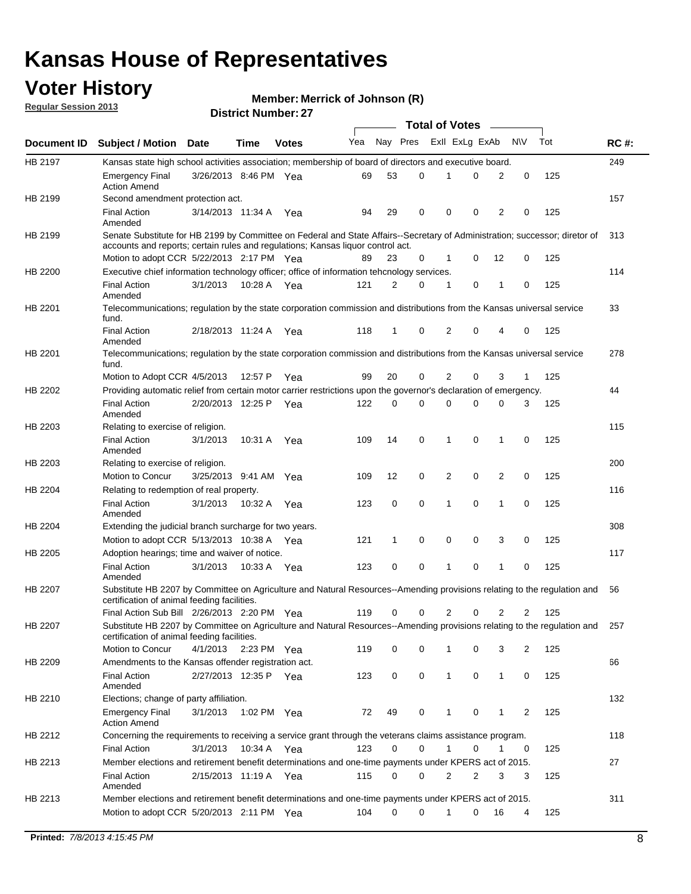## **Voter History**

**Member: Merrick of Johnson (R)** 

**Regular Session 2013**

|                |                                                                                                                                                                         |                       |             |              |     |          |             | <b>Total of Votes</b> |             |                |             |     |             |
|----------------|-------------------------------------------------------------------------------------------------------------------------------------------------------------------------|-----------------------|-------------|--------------|-----|----------|-------------|-----------------------|-------------|----------------|-------------|-----|-------------|
| Document ID    | <b>Subject / Motion Date</b>                                                                                                                                            |                       | Time        | <b>Votes</b> | Yea | Nay Pres |             | Exll ExLg ExAb        |             |                | N\V         | Tot | <b>RC#:</b> |
| HB 2197        | Kansas state high school activities association; membership of board of directors and executive board.                                                                  |                       |             |              |     |          |             |                       |             |                |             |     | 249         |
|                | <b>Emergency Final</b><br><b>Action Amend</b>                                                                                                                           | 3/26/2013 8:46 PM Yea |             |              | 69  | 53       | 0           | 1                     | 0           | 2              | 0           | 125 |             |
| HB 2199        | Second amendment protection act.                                                                                                                                        |                       |             |              |     |          |             |                       |             |                |             |     | 157         |
|                | <b>Final Action</b><br>Amended                                                                                                                                          | 3/14/2013 11:34 A     |             | Yea          | 94  | 29       | 0           | 0                     | 0           | 2              | 0           | 125 |             |
| HB 2199        | Senate Substitute for HB 2199 by Committee on Federal and State Affairs--Secretary of Administration; successor; diretor of                                             |                       |             |              |     |          |             |                       |             |                |             |     | 313         |
|                | accounts and reports; certain rules and regulations; Kansas liquor control act.                                                                                         |                       |             |              |     |          |             |                       |             |                |             |     |             |
|                | Motion to adopt CCR 5/22/2013 2:17 PM Yea                                                                                                                               |                       |             |              | 89  | 23       | 0           | 1                     | 0           | 12             | 0           | 125 |             |
| HB 2200        | Executive chief information technology officer; office of information tehcnology services.                                                                              |                       |             |              |     |          |             |                       |             |                |             |     | 114         |
|                | <b>Final Action</b><br>Amended                                                                                                                                          | 3/1/2013              | 10:28 A     | Yea          | 121 | 2        | 0           | 1                     | 0           | 1              | 0           | 125 |             |
| HB 2201        | Telecommunications; regulation by the state corporation commission and distributions from the Kansas universal service<br>fund.                                         |                       |             |              |     |          |             |                       |             |                |             |     | 33          |
|                | <b>Final Action</b><br>Amended                                                                                                                                          | 2/18/2013 11:24 A     |             | Yea          | 118 | 1        | 0           | 2                     | 0           | 4              | 0           | 125 |             |
| HB 2201        | Telecommunications; regulation by the state corporation commission and distributions from the Kansas universal service<br>fund.                                         |                       |             |              |     |          |             |                       |             |                |             |     | 278         |
|                | Motion to Adopt CCR 4/5/2013                                                                                                                                            |                       | 12:57 P     | Yea          | 99  | 20       | 0           | 2                     | 0           | 3              | 1           | 125 |             |
| HB 2202        | Providing automatic relief from certain motor carrier restrictions upon the governor's declaration of emergency.                                                        |                       |             |              |     |          |             |                       |             |                |             |     | 44          |
|                | <b>Final Action</b><br>Amended                                                                                                                                          | 2/20/2013 12:25 P     |             | Yea          | 122 | 0        | 0           | 0                     | 0           | 0              | 3           | 125 |             |
| HB 2203        | Relating to exercise of religion.                                                                                                                                       |                       |             |              |     |          |             |                       |             |                |             |     | 115         |
|                | <b>Final Action</b><br>Amended                                                                                                                                          | 3/1/2013              | 10:31 A     | Yea          | 109 | 14       | 0           | 1                     | 0           | 1              | 0           | 125 |             |
| HB 2203        | Relating to exercise of religion.                                                                                                                                       |                       |             |              |     |          |             |                       |             |                |             |     | 200         |
|                | Motion to Concur                                                                                                                                                        | 3/25/2013 9:41 AM Yea |             |              | 109 | 12       | 0           | 2                     | $\mathbf 0$ | $\overline{2}$ | 0           | 125 |             |
| HB 2204        | Relating to redemption of real property.                                                                                                                                |                       |             |              |     |          |             |                       |             |                |             |     | 116         |
|                | <b>Final Action</b><br>Amended                                                                                                                                          | 3/1/2013              | 10:32 A     | Yea          | 123 | 0        | $\mathbf 0$ | 1                     | 0           | 1              | $\mathbf 0$ | 125 |             |
| HB 2204        | Extending the judicial branch surcharge for two years.                                                                                                                  |                       |             |              |     |          |             |                       |             |                |             |     | 308         |
|                | Motion to adopt CCR 5/13/2013 10:38 A                                                                                                                                   |                       |             | Yea          | 121 | 1        | 0           | 0                     | 0           | 3              | 0           | 125 |             |
| HB 2205        | Adoption hearings; time and waiver of notice.                                                                                                                           |                       |             |              |     |          |             |                       |             |                |             |     | 117         |
|                | <b>Final Action</b><br>Amended                                                                                                                                          | 3/1/2013              | 10:33 A     | Yea          | 123 | 0        | 0           | 1                     | 0           | 1              | 0           | 125 |             |
| HB 2207        | Substitute HB 2207 by Committee on Agriculture and Natural Resources--Amending provisions relating to the regulation and<br>certification of animal feeding facilities. |                       |             |              |     |          |             |                       |             |                |             |     | 56          |
|                | Final Action Sub Bill 2/26/2013 2:20 PM Yea                                                                                                                             |                       |             |              | 119 | 0        | 0           | 2                     | 0           | 2              | 2           | 125 |             |
| <b>HB 2207</b> | Substitute HB 2207 by Committee on Agriculture and Natural Resources--Amending provisions relating to the regulation and<br>certification of animal feeding facilities. |                       |             |              |     |          |             |                       |             |                |             |     | 257         |
|                | Motion to Concur                                                                                                                                                        | 4/1/2013              | 2:23 PM Yea |              | 119 | 0        | 0           | 1                     | 0           | 3              | 2           | 125 |             |
| HB 2209        | Amendments to the Kansas offender registration act.                                                                                                                     |                       |             |              |     |          |             |                       |             |                |             |     | 66          |
|                | Final Action<br>Amended                                                                                                                                                 | 2/27/2013 12:35 P Yea |             |              | 123 | 0        | 0           | $\mathbf{1}$          | 0           | $\mathbf{1}$   | 0           | 125 |             |
| HB 2210        | Elections; change of party affiliation.                                                                                                                                 |                       |             |              |     |          |             |                       |             |                |             |     | 132         |
|                | <b>Emergency Final</b><br><b>Action Amend</b>                                                                                                                           | 3/1/2013              | 1:02 PM Yea |              | 72  | 49       | 0           | 1                     | 0           | 1              | 2           | 125 |             |
| HB 2212        | Concerning the requirements to receiving a service grant through the veterans claims assistance program.                                                                |                       |             |              |     |          |             |                       |             |                |             |     | 118         |
|                | <b>Final Action</b>                                                                                                                                                     | 3/1/2013              |             | 10:34 A Yea  | 123 | 0        | 0           | $\mathbf{1}$          | 0           | $\mathbf 1$    | 0           | 125 |             |
| HB 2213        | Member elections and retirement benefit determinations and one-time payments under KPERS act of 2015.                                                                   |                       |             |              |     |          |             |                       |             |                |             |     | 27          |
|                | <b>Final Action</b><br>Amended                                                                                                                                          | 2/15/2013 11:19 A Yea |             |              | 115 | 0        | 0           | 2                     | 2           | 3              | 3           | 125 |             |
| HB 2213        | Member elections and retirement benefit determinations and one-time payments under KPERS act of 2015.                                                                   |                       |             |              |     |          |             |                       |             |                |             |     | 311         |
|                | Motion to adopt CCR 5/20/2013 2:11 PM Yea                                                                                                                               |                       |             |              | 104 | $\Omega$ | 0           | $\mathbf 1$           | 0           | 16             | 4           | 125 |             |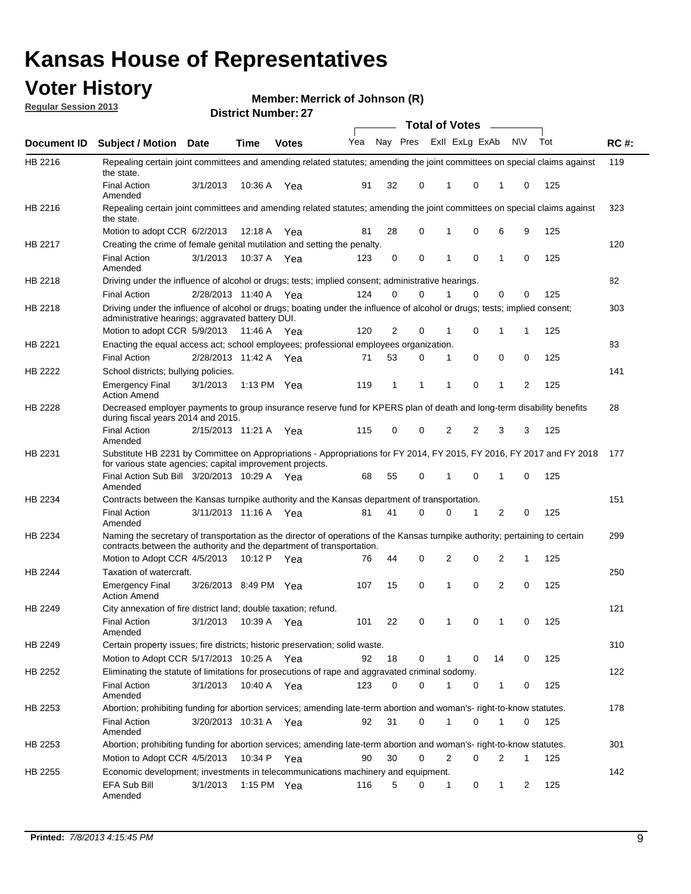## **Voter History**

**Merrick of Johnson (R)**

**Regular Session 2013**

|                    |                                                                                                                                                                                                       |                       |         | ו אוווואר ושטוווער |              |    |   | <b>Total of Votes</b> |          | $\sim$         |           |     |     |
|--------------------|-------------------------------------------------------------------------------------------------------------------------------------------------------------------------------------------------------|-----------------------|---------|--------------------|--------------|----|---|-----------------------|----------|----------------|-----------|-----|-----|
| <b>Document ID</b> | <b>Subject / Motion Date</b>                                                                                                                                                                          |                       | Time    | <b>Votes</b>       | Yea Nay Pres |    |   | Exll ExLg ExAb        |          |                | <b>NV</b> | Tot | RC# |
| HB 2216            | Repealing certain joint committees and amending related statutes; amending the joint committees on special claims against<br>the state.                                                               |                       |         |                    |              |    |   |                       |          |                |           |     | 119 |
|                    | <b>Final Action</b><br>Amended                                                                                                                                                                        | 3/1/2013              | 10:36 A | Yea                | 91           | 32 | 0 | 1                     | 0        | 1              | 0         | 125 |     |
| HB 2216            | Repealing certain joint committees and amending related statutes; amending the joint committees on special claims against<br>the state.                                                               |                       |         |                    |              |    |   |                       |          |                |           |     | 323 |
|                    | Motion to adopt CCR 6/2/2013                                                                                                                                                                          |                       | 12:18 A | Yea                | 81           | 28 | 0 | 1                     | 0        | 6              | 9         | 125 |     |
| HB 2217            | Creating the crime of female genital mutilation and setting the penalty.                                                                                                                              |                       |         |                    |              |    |   |                       |          |                |           |     | 120 |
|                    | <b>Final Action</b><br>Amended                                                                                                                                                                        | 3/1/2013              |         | 10:37 A Yea        | 123          | 0  | 0 | 1                     | 0        | $\mathbf{1}$   | 0         | 125 |     |
| HB 2218            | Driving under the influence of alcohol or drugs; tests; implied consent; administrative hearings.                                                                                                     |                       |         |                    |              |    |   |                       |          |                |           |     | 82  |
|                    | <b>Final Action</b>                                                                                                                                                                                   | 2/28/2013 11:40 A Yea |         |                    | 124          | 0  | 0 |                       | $\Omega$ | 0              | 0         | 125 |     |
| HB 2218            | Driving under the influence of alcohol or drugs; boating under the influence of alcohol or drugs; tests; implied consent;<br>administrative hearings; aggravated battery DUI.                         |                       |         |                    |              |    |   |                       |          |                |           |     | 303 |
|                    | Motion to adopt CCR 5/9/2013 11:46 A                                                                                                                                                                  |                       |         | Yea                | 120          | 2  | 0 | 1                     | 0        | 1              | 1         | 125 |     |
| HB 2221            | Enacting the equal access act; school employees; professional employees organization.                                                                                                                 |                       |         |                    |              |    |   |                       |          |                |           |     | 83  |
|                    | <b>Final Action</b>                                                                                                                                                                                   | 2/28/2013 11:42 A     |         | Yea                | 71           | 53 | 0 | 1                     | 0        | 0              | 0         | 125 |     |
| HB 2222            | School districts; bullying policies.                                                                                                                                                                  |                       |         |                    |              |    |   |                       |          |                |           |     | 141 |
|                    | <b>Emergency Final</b><br><b>Action Amend</b>                                                                                                                                                         | 3/1/2013              |         | 1:13 PM $Yea$      | 119          | 1  | 1 | 1                     | 0        | 1              | 2         | 125 |     |
| HB 2228            | Decreased employer payments to group insurance reserve fund for KPERS plan of death and long-term disability benefits<br>during fiscal years 2014 and 2015.                                           |                       |         |                    |              |    |   |                       |          |                |           |     | 28  |
|                    | <b>Final Action</b><br>Amended                                                                                                                                                                        | 2/15/2013 11:21 A Yea |         |                    | 115          | 0  | 0 | 2                     | 2        | 3              | 3         | 125 |     |
| HB 2231            | Substitute HB 2231 by Committee on Appropriations - Appropriations for FY 2014, FY 2015, FY 2016, FY 2017 and FY 2018<br>for various state agencies; capital improvement projects.                    |                       |         |                    |              |    |   |                       |          |                |           |     | 177 |
|                    | Final Action Sub Bill 3/20/2013 10:29 A Yea<br>Amended                                                                                                                                                |                       |         |                    | 68           | 55 | 0 |                       | 0        | 1              | 0         | 125 |     |
| HB 2234            | Contracts between the Kansas turnpike authority and the Kansas department of transportation.                                                                                                          |                       |         |                    |              |    |   |                       |          |                |           |     | 151 |
|                    | <b>Final Action</b><br>Amended                                                                                                                                                                        | 3/11/2013 11:16 A Yea |         |                    | 81           | 41 | 0 | 0                     | 1        | $\overline{2}$ | 0         | 125 |     |
| HB 2234            | Naming the secretary of transportation as the director of operations of the Kansas turnpike authority; pertaining to certain<br>contracts between the authority and the department of transportation. |                       |         |                    |              |    |   |                       |          |                |           |     | 299 |
|                    | Motion to Adopt CCR 4/5/2013                                                                                                                                                                          |                       | 10:12 P | Yea                | 76           | 44 | 0 | 2                     | 0        | 2              | 1         | 125 |     |
| HB 2244            | Taxation of watercraft.<br><b>Emergency Final</b>                                                                                                                                                     | 3/26/2013 8:49 PM Yea |         |                    | 107          | 15 | 0 | 1                     | 0        | 2              | 0         | 125 | 250 |
|                    | <b>Action Amend</b>                                                                                                                                                                                   |                       |         |                    |              |    |   |                       |          |                |           |     |     |
| HB 2249            | City annexation of fire district land; double taxation; refund.                                                                                                                                       |                       |         |                    |              |    |   |                       |          |                |           |     | 121 |
|                    | Final Action 3/1/2013 10:39 A Yea<br>Amended                                                                                                                                                          |                       |         |                    | 101          | 22 | 0 | $\mathbf{1}$          | 0        | $\mathbf{1}$   | 0         | 125 |     |
| HB 2249            | Certain property issues; fire districts; historic preservation; solid waste.                                                                                                                          |                       |         |                    |              |    |   |                       |          |                |           |     | 310 |
|                    | Motion to Adopt CCR 5/17/2013 10:25 A Yea                                                                                                                                                             |                       |         |                    | 92           | 18 | 0 | 1                     | 0        | 14             | 0         | 125 |     |
| HB 2252            | Eliminating the statute of limitations for prosecutions of rape and aggravated criminal sodomy.                                                                                                       |                       |         |                    |              |    |   |                       |          |                |           |     | 122 |
|                    | <b>Final Action</b><br>Amended                                                                                                                                                                        | 3/1/2013              |         | 10:40 A Yea        | 123          | 0  | 0 |                       | 0        | 1              | 0         | 125 |     |
| HB 2253            | Abortion; prohibiting funding for abortion services; amending late-term abortion and woman's- right-to-know statutes.                                                                                 |                       |         |                    |              |    |   |                       |          |                |           |     | 178 |
|                    | <b>Final Action</b><br>Amended                                                                                                                                                                        | 3/20/2013 10:31 A Yea |         |                    | 92           | 31 | 0 | 1                     | 0        | 1              | 0         | 125 |     |
| HB 2253            | Abortion; prohibiting funding for abortion services; amending late-term abortion and woman's- right-to-know statutes.                                                                                 |                       |         |                    |              |    |   |                       |          |                |           |     | 301 |
|                    | Motion to Adopt CCR 4/5/2013                                                                                                                                                                          |                       |         | 10:34 P Yea        | 90           | 30 | 0 | 2                     | 0        | 2              | 1         | 125 |     |
| HB 2255            | Economic development; investments in telecommunications machinery and equipment.                                                                                                                      |                       |         |                    |              |    |   |                       |          |                |           |     | 142 |
|                    | EFA Sub Bill<br>Amended                                                                                                                                                                               | 3/1/2013              |         | 1:15 PM $Yea$      | 116          | 5  | 0 | -1                    | 0        | 1              | 2         | 125 |     |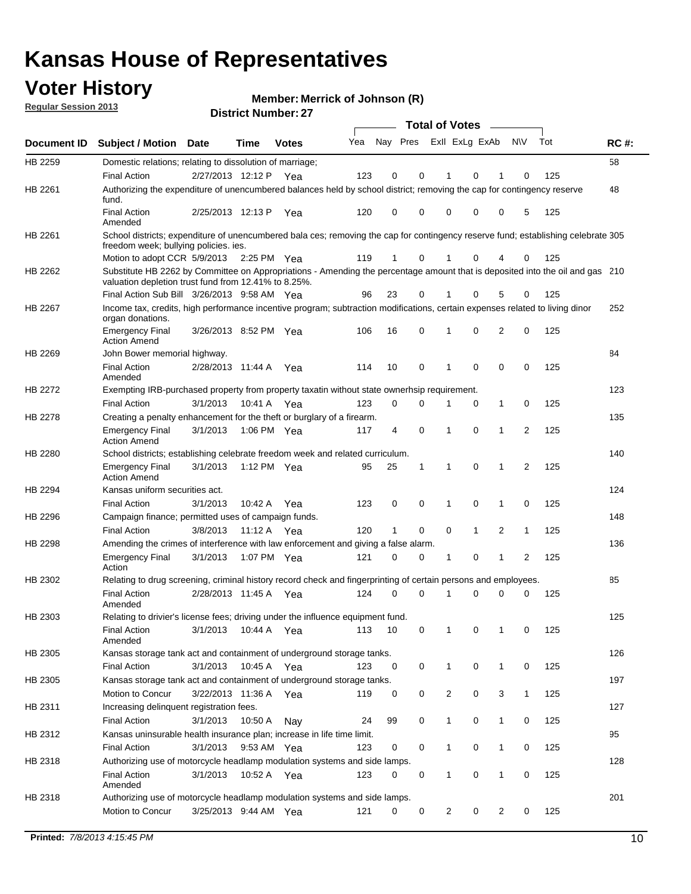## **Voter History**

**Merrick of Johnson (R)**

**Regular Session 2013**

|                    |                                                                                                                                                                                       |                       | PIJU IVI I VUI IIVU . <i>LI</i> |              |     |                         |             | <b>Total of Votes</b> |              | $\sim$         |              |     |             |
|--------------------|---------------------------------------------------------------------------------------------------------------------------------------------------------------------------------------|-----------------------|---------------------------------|--------------|-----|-------------------------|-------------|-----------------------|--------------|----------------|--------------|-----|-------------|
| <b>Document ID</b> | <b>Subject / Motion</b>                                                                                                                                                               | Date                  | Time                            | <b>Votes</b> | Yea | Nay Pres Exll ExLg ExAb |             |                       |              |                | N\V          | Tot | <b>RC#:</b> |
| HB 2259            | Domestic relations; relating to dissolution of marriage;                                                                                                                              |                       |                                 |              |     |                         |             |                       |              |                |              |     | 58          |
|                    | <b>Final Action</b>                                                                                                                                                                   | 2/27/2013 12:12 P     |                                 | Yea          | 123 | 0                       | 0           | 1                     | 0            | 1              | $\Omega$     | 125 |             |
| HB 2261            | Authorizing the expenditure of unencumbered balances held by school district; removing the cap for contingency reserve<br>fund.                                                       |                       |                                 |              |     |                         |             |                       |              |                |              |     | 48          |
|                    | <b>Final Action</b><br>Amended                                                                                                                                                        | 2/25/2013 12:13 P     |                                 | Yea          | 120 | 0                       | 0           | 0                     | 0            | 0              | 5            | 125 |             |
| HB 2261            | School districts; expenditure of unencumbered bala ces; removing the cap for contingency reserve fund; establishing celebrate 305<br>freedom week; bullying policies. ies.            |                       |                                 |              |     |                         |             |                       |              |                |              |     |             |
|                    | Motion to adopt CCR 5/9/2013                                                                                                                                                          |                       | 2:25 PM Yea                     |              | 119 | 1                       | 0           |                       | 0            | 4              | 0            | 125 |             |
| HB 2262            | Substitute HB 2262 by Committee on Appropriations - Amending the percentage amount that is deposited into the oil and gas 210<br>valuation depletion trust fund from 12.41% to 8.25%. |                       |                                 |              |     |                         |             |                       |              |                |              |     |             |
|                    | Final Action Sub Bill 3/26/2013 9:58 AM Yea                                                                                                                                           |                       |                                 |              | 96  | 23                      | 0           |                       | 0            | 5              | 0            | 125 |             |
| HB 2267            | Income tax, credits, high performance incentive program; subtraction modifications, certain expenses related to living dinor<br>organ donations.                                      |                       |                                 |              |     |                         |             |                       |              |                |              |     | 252         |
|                    | <b>Emergency Final</b><br><b>Action Amend</b>                                                                                                                                         | 3/26/2013 8:52 PM Yea |                                 |              | 106 | 16                      | 0           | 1                     | 0            | 2              | 0            | 125 |             |
| HB 2269            | John Bower memorial highway.                                                                                                                                                          |                       |                                 |              |     |                         |             |                       |              |                |              |     | 84          |
|                    | <b>Final Action</b><br>Amended                                                                                                                                                        | 2/28/2013 11:44 A Yea |                                 |              | 114 | 10                      | 0           | 1                     | 0            | 0              | 0            | 125 |             |
| HB 2272            | Exempting IRB-purchased property from property taxatin without state ownerhsip requirement.                                                                                           |                       |                                 |              |     |                         |             |                       |              |                |              |     | 123         |
|                    | <b>Final Action</b>                                                                                                                                                                   | 3/1/2013              | 10:41 A Yea                     |              | 123 | 0                       | 0           | 1                     | 0            | $\mathbf{1}$   | 0            | 125 |             |
| HB 2278            | Creating a penalty enhancement for the theft or burglary of a firearm.                                                                                                                |                       |                                 |              |     |                         |             |                       |              |                |              |     | 135         |
|                    | <b>Emergency Final</b><br><b>Action Amend</b>                                                                                                                                         | 3/1/2013              | 1:06 PM Yea                     |              | 117 | 4                       | $\mathbf 0$ | 1                     | $\Omega$     | 1              | 2            | 125 |             |
| HB 2280            | School districts; establishing celebrate freedom week and related curriculum.                                                                                                         |                       |                                 |              |     |                         |             |                       |              |                |              |     | 140         |
|                    | <b>Emergency Final</b><br><b>Action Amend</b>                                                                                                                                         | 3/1/2013              | 1:12 PM Yea                     |              | 95  | 25                      | 1           | 1                     | 0            | 1              | 2            | 125 |             |
| HB 2294            | Kansas uniform securities act.                                                                                                                                                        |                       |                                 |              |     |                         |             |                       |              |                |              |     | 124         |
|                    | <b>Final Action</b>                                                                                                                                                                   | 3/1/2013              | 10:42 A Yea                     |              | 123 | 0                       | 0           | 1                     | $\mathbf 0$  | $\mathbf{1}$   | 0            | 125 |             |
| HB 2296            | Campaign finance; permitted uses of campaign funds.                                                                                                                                   |                       |                                 |              |     |                         |             |                       |              |                |              |     | 148         |
|                    | <b>Final Action</b>                                                                                                                                                                   | 3/8/2013              | 11:12 A Yea                     |              | 120 | $\mathbf{1}$            | 0           | 0                     | $\mathbf{1}$ | $\overline{2}$ | $\mathbf{1}$ | 125 |             |
| HB 2298            | Amending the crimes of interference with law enforcement and giving a false alarm.                                                                                                    |                       |                                 |              |     |                         |             |                       |              |                |              |     | 136         |
|                    | <b>Emergency Final</b><br>Action                                                                                                                                                      | 3/1/2013              | 1:07 PM Yea                     |              | 121 | 0                       | 0           | 1                     | 0            | $\mathbf{1}$   | 2            | 125 |             |
| HB 2302            | Relating to drug screening, criminal history record check and fingerprinting of certain persons and employees.                                                                        |                       |                                 |              |     |                         |             |                       |              |                |              |     | 85          |
|                    | <b>Final Action</b><br>Amended                                                                                                                                                        | 2/28/2013 11:45 A Yea |                                 |              | 124 | 0                       | $\Omega$    | 1                     | 0            | 0              | $\mathbf 0$  | 125 |             |
| HB 2303            | Relating to drivier's license fees; driving under the influence equipment fund.                                                                                                       |                       |                                 |              |     |                         |             |                       |              |                |              |     | 125         |
|                    | <b>Final Action</b><br>Amended                                                                                                                                                        | 3/1/2013              | 10:44 A                         | Yea          | 113 | 10                      | 0           | 1                     | 0            | 1              | 0            | 125 |             |
| HB 2305            | Kansas storage tank act and containment of underground storage tanks.                                                                                                                 |                       |                                 |              |     |                         |             |                       |              |                |              |     | 126         |
|                    | <b>Final Action</b>                                                                                                                                                                   | 3/1/2013              | 10:45 A                         | Yea          | 123 | 0                       | 0           | 1                     | 0            | $\mathbf{1}$   | 0            | 125 |             |
| HB 2305            | Kansas storage tank act and containment of underground storage tanks.                                                                                                                 |                       |                                 |              |     |                         |             |                       |              |                |              |     | 197         |
|                    | Motion to Concur                                                                                                                                                                      | 3/22/2013 11:36 A     |                                 | Yea          | 119 | 0                       | 0           | 2                     | 0            | 3              | $\mathbf{1}$ | 125 |             |
| HB 2311            | Increasing delinquent registration fees.                                                                                                                                              |                       |                                 |              |     |                         |             |                       |              |                |              |     | 127         |
|                    | <b>Final Action</b>                                                                                                                                                                   | 3/1/2013              | 10:50 A                         | Nay          | 24  | 99                      | 0           | $\mathbf{1}$          | 0            | $\mathbf{1}$   | 0            | 125 |             |
| HB 2312            | Kansas uninsurable health insurance plan; increase in life time limit.                                                                                                                |                       |                                 |              |     |                         |             |                       |              |                |              |     | 95          |
|                    | <b>Final Action</b>                                                                                                                                                                   | 3/1/2013              | 9:53 AM Yea                     |              | 123 | 0                       | 0           | 1                     | 0            | 1              | 0            | 125 |             |
| HB 2318            | Authorizing use of motorcycle headlamp modulation systems and side lamps.                                                                                                             |                       |                                 |              |     |                         |             |                       |              |                |              |     | 128         |
|                    | <b>Final Action</b><br>Amended                                                                                                                                                        | 3/1/2013              | 10:52 A                         | Yea          | 123 | 0                       | 0           | 1                     | 0            | 1              | 0            | 125 |             |
| HB 2318            | Authorizing use of motorcycle headlamp modulation systems and side lamps.                                                                                                             |                       |                                 |              |     |                         |             |                       |              |                |              |     | 201         |
|                    | Motion to Concur                                                                                                                                                                      | 3/25/2013 9:44 AM Yea |                                 |              | 121 | 0                       | 0           | 2                     | 0            | 2              | 0            | 125 |             |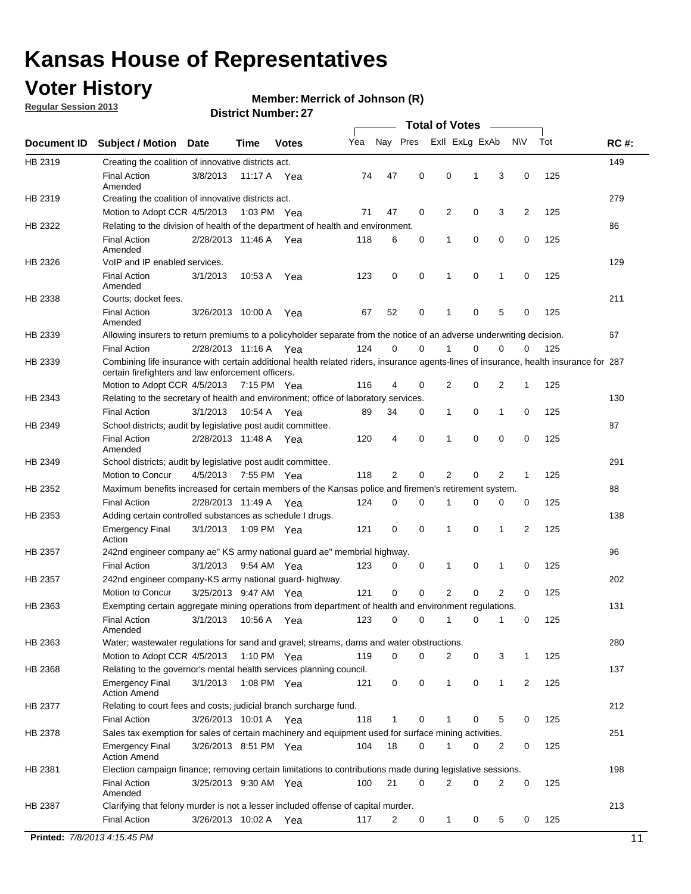## **Voter History**

**Merrick of Johnson (R)**

**Regular Session 2013**

| Nay Pres<br>Exll ExLg ExAb<br>Tot<br>Yea<br>N\V<br><b>RC#:</b><br>Document ID<br><b>Subject / Motion</b><br><b>Date</b><br>Time<br><b>Votes</b><br>149<br>HB 2319<br>Creating the coalition of innovative districts act.<br>47<br>0<br>0<br>125<br><b>Final Action</b><br>3/8/2013<br>74<br>1<br>3<br>0<br>11:17 A<br>Yea<br>Amended<br>279<br>HB 2319<br>Creating the coalition of innovative districts act.<br>47<br>0<br>2<br>0<br>3<br>2<br>125<br>Motion to Adopt CCR 4/5/2013<br>1:03 PM Yea<br>71<br>HB 2322<br>Relating to the division of health of the department of health and environment.<br>86<br>0<br>0<br>0<br>0<br>125<br><b>Final Action</b><br>2/28/2013 11:46 A Yea<br>118<br>6<br>1<br>Amended<br>129<br>VoIP and IP enabled services.<br>HB 2326<br>3/1/2013<br>123<br>0<br>0<br>1<br>0<br>1<br>0<br>125<br><b>Final Action</b><br>10.53 A<br>Yea<br>Amended<br>211<br>HB 2338<br>Courts; docket fees.<br><b>Final Action</b><br>52<br>0<br>125<br>3/26/2013 10:00 A<br>67<br>1<br>0<br>5<br>Yea<br>0<br>Amended<br>67<br>HB 2339<br>Allowing insurers to return premiums to a policyholder separate from the notice of an adverse underwriting decision.<br>0<br>2/28/2013 11:16 A Yea<br>124<br>0<br>1<br>0<br>0<br>125<br><b>Final Action</b><br>0<br>Combining life insurance with certain additional health related riders, insurance agents-lines of insurance, health insurance for 287<br>HB 2339<br>certain firefighters and law enforcement officers.<br>2<br>125<br>Motion to Adopt CCR 4/5/2013 7:15 PM Yea<br>116<br>4<br>0<br>0<br>2<br>1<br>HB 2343<br>Relating to the secretary of health and environment; office of laboratory services.<br>130<br><b>Final Action</b><br>3/1/2013<br>0<br>125<br>10:54 A Yea<br>89<br>34<br>0<br>1<br>1<br>0<br>87<br>HB 2349<br>School districts; audit by legislative post audit committee.<br>$\mathbf 0$<br>0<br>0<br>4<br>0<br>125<br><b>Final Action</b><br>2/28/2013 11:48 A Yea<br>120<br>1<br>Amended<br>291<br>HB 2349<br>School districts; audit by legislative post audit committee.<br>Motion to Concur<br>4/5/2013<br>7:55 PM Yea<br>118<br>2<br>0<br>2<br>0<br>2<br>125<br>1<br>Maximum benefits increased for certain members of the Kansas police and firemen's retirement system.<br>88<br>HB 2352<br><b>Final Action</b><br>2/28/2013 11:49 A<br>0<br>125<br>124<br>0<br>1<br>0<br>0<br>0<br>Yea<br>138<br>HB 2353<br>Adding certain controlled substances as schedule I drugs.<br>121<br>0<br>$\mathbf 0$<br>0<br>2<br>125<br><b>Emergency Final</b><br>3/1/2013<br>1:09 PM Yea<br>1<br>1<br>Action<br>96<br>HB 2357<br>242nd engineer company ae" KS army national guard ae" membrial highway.<br>3/1/2013<br>0<br>0<br>0<br>125<br><b>Final Action</b><br>9:54 AM Yea<br>123<br>1<br>1<br>0<br>202<br>HB 2357<br>242nd engineer company-KS army national guard- highway.<br>$\mathbf 0$<br>$\mathbf 0$<br>$\overline{2}$<br>0<br>2<br>3/25/2013 9:47 AM Yea<br>121<br>0<br>125<br>Motion to Concur<br>131<br>HB 2363<br>Exempting certain aggregate mining operations from department of health and environment regulations.<br>3/1/2013<br>10:56 A<br>123<br>0<br>0<br>125<br><b>Final Action</b><br>Yea<br>0<br>1<br>0<br>1<br>Amended<br>HB 2363<br>Water; wastewater regulations for sand and gravel; streams, dams and water obstructions.<br>280<br>Motion to Adopt CCR 4/5/2013<br>119<br>0<br>0<br>3<br>125<br>1:10 PM $Yea$<br>2<br>0<br>1<br>HB 2368<br>Relating to the governor's mental health services planning council.<br>137<br>0<br>0<br><b>Emergency Final</b><br>3/1/2013<br>1:08 PM Yea<br>121<br>0<br>1<br>$\mathbf{1}$<br>2<br>125<br><b>Action Amend</b><br>212<br>HB 2377<br>Relating to court fees and costs; judicial branch surcharge fund.<br>3/26/2013 10:01 A Yea<br>118<br>0<br>125<br><b>Final Action</b><br>5<br>0<br>1<br>0<br>Sales tax exemption for sales of certain machinery and equipment used for surface mining activities.<br>251<br>HB 2378<br>104<br>18<br>0<br>0<br>125<br><b>Emergency Final</b><br>3/26/2013 8:51 PM Yea<br>1<br>0<br>2<br><b>Action Amend</b><br>198<br>HB 2381<br>Election campaign finance; removing certain limitations to contributions made during legislative sessions.<br><b>Final Action</b><br>21<br>$\mathbf 0$<br>2<br>0<br>2<br>0<br>3/25/2013 9:30 AM Yea<br>100<br>125<br>Amended<br>213<br>HB 2387<br>Clarifying that felony murder is not a lesser included offense of capital murder.<br><b>Final Action</b><br>125<br>3/26/2013 10:02 A<br>117<br>2<br>0<br>$\mathbf{1}$<br>0<br>5<br>0<br>Yea<br>Printed: 7/8/2013 4:15:45 PM |  |  |  |  | <b>Total of Votes</b> |  |  |    |
|-----------------------------------------------------------------------------------------------------------------------------------------------------------------------------------------------------------------------------------------------------------------------------------------------------------------------------------------------------------------------------------------------------------------------------------------------------------------------------------------------------------------------------------------------------------------------------------------------------------------------------------------------------------------------------------------------------------------------------------------------------------------------------------------------------------------------------------------------------------------------------------------------------------------------------------------------------------------------------------------------------------------------------------------------------------------------------------------------------------------------------------------------------------------------------------------------------------------------------------------------------------------------------------------------------------------------------------------------------------------------------------------------------------------------------------------------------------------------------------------------------------------------------------------------------------------------------------------------------------------------------------------------------------------------------------------------------------------------------------------------------------------------------------------------------------------------------------------------------------------------------------------------------------------------------------------------------------------------------------------------------------------------------------------------------------------------------------------------------------------------------------------------------------------------------------------------------------------------------------------------------------------------------------------------------------------------------------------------------------------------------------------------------------------------------------------------------------------------------------------------------------------------------------------------------------------------------------------------------------------------------------------------------------------------------------------------------------------------------------------------------------------------------------------------------------------------------------------------------------------------------------------------------------------------------------------------------------------------------------------------------------------------------------------------------------------------------------------------------------------------------------------------------------------------------------------------------------------------------------------------------------------------------------------------------------------------------------------------------------------------------------------------------------------------------------------------------------------------------------------------------------------------------------------------------------------------------------------------------------------------------------------------------------------------------------------------------------------------------------------------------------------------------------------------------------------------------------------------------------------------------------------------------------------------------------------------------------------------------------------------------------------------------------------------------------------------------------------------------------------------------------------------------------------------------------------------------------------------------------------------------------------------------------------------------------------------------------------------------------------------------------------------------------------------------------------------------------------------------------------------------------------------------------------------------------------------------------------------------------------|--|--|--|--|-----------------------|--|--|----|
|                                                                                                                                                                                                                                                                                                                                                                                                                                                                                                                                                                                                                                                                                                                                                                                                                                                                                                                                                                                                                                                                                                                                                                                                                                                                                                                                                                                                                                                                                                                                                                                                                                                                                                                                                                                                                                                                                                                                                                                                                                                                                                                                                                                                                                                                                                                                                                                                                                                                                                                                                                                                                                                                                                                                                                                                                                                                                                                                                                                                                                                                                                                                                                                                                                                                                                                                                                                                                                                                                                                                                                                                                                                                                                                                                                                                                                                                                                                                                                                                                                                                                                                                                                                                                                                                                                                                                                                                                                                                                                                                                                                                                 |  |  |  |  |                       |  |  |    |
|                                                                                                                                                                                                                                                                                                                                                                                                                                                                                                                                                                                                                                                                                                                                                                                                                                                                                                                                                                                                                                                                                                                                                                                                                                                                                                                                                                                                                                                                                                                                                                                                                                                                                                                                                                                                                                                                                                                                                                                                                                                                                                                                                                                                                                                                                                                                                                                                                                                                                                                                                                                                                                                                                                                                                                                                                                                                                                                                                                                                                                                                                                                                                                                                                                                                                                                                                                                                                                                                                                                                                                                                                                                                                                                                                                                                                                                                                                                                                                                                                                                                                                                                                                                                                                                                                                                                                                                                                                                                                                                                                                                                                 |  |  |  |  |                       |  |  |    |
|                                                                                                                                                                                                                                                                                                                                                                                                                                                                                                                                                                                                                                                                                                                                                                                                                                                                                                                                                                                                                                                                                                                                                                                                                                                                                                                                                                                                                                                                                                                                                                                                                                                                                                                                                                                                                                                                                                                                                                                                                                                                                                                                                                                                                                                                                                                                                                                                                                                                                                                                                                                                                                                                                                                                                                                                                                                                                                                                                                                                                                                                                                                                                                                                                                                                                                                                                                                                                                                                                                                                                                                                                                                                                                                                                                                                                                                                                                                                                                                                                                                                                                                                                                                                                                                                                                                                                                                                                                                                                                                                                                                                                 |  |  |  |  |                       |  |  |    |
|                                                                                                                                                                                                                                                                                                                                                                                                                                                                                                                                                                                                                                                                                                                                                                                                                                                                                                                                                                                                                                                                                                                                                                                                                                                                                                                                                                                                                                                                                                                                                                                                                                                                                                                                                                                                                                                                                                                                                                                                                                                                                                                                                                                                                                                                                                                                                                                                                                                                                                                                                                                                                                                                                                                                                                                                                                                                                                                                                                                                                                                                                                                                                                                                                                                                                                                                                                                                                                                                                                                                                                                                                                                                                                                                                                                                                                                                                                                                                                                                                                                                                                                                                                                                                                                                                                                                                                                                                                                                                                                                                                                                                 |  |  |  |  |                       |  |  |    |
|                                                                                                                                                                                                                                                                                                                                                                                                                                                                                                                                                                                                                                                                                                                                                                                                                                                                                                                                                                                                                                                                                                                                                                                                                                                                                                                                                                                                                                                                                                                                                                                                                                                                                                                                                                                                                                                                                                                                                                                                                                                                                                                                                                                                                                                                                                                                                                                                                                                                                                                                                                                                                                                                                                                                                                                                                                                                                                                                                                                                                                                                                                                                                                                                                                                                                                                                                                                                                                                                                                                                                                                                                                                                                                                                                                                                                                                                                                                                                                                                                                                                                                                                                                                                                                                                                                                                                                                                                                                                                                                                                                                                                 |  |  |  |  |                       |  |  |    |
|                                                                                                                                                                                                                                                                                                                                                                                                                                                                                                                                                                                                                                                                                                                                                                                                                                                                                                                                                                                                                                                                                                                                                                                                                                                                                                                                                                                                                                                                                                                                                                                                                                                                                                                                                                                                                                                                                                                                                                                                                                                                                                                                                                                                                                                                                                                                                                                                                                                                                                                                                                                                                                                                                                                                                                                                                                                                                                                                                                                                                                                                                                                                                                                                                                                                                                                                                                                                                                                                                                                                                                                                                                                                                                                                                                                                                                                                                                                                                                                                                                                                                                                                                                                                                                                                                                                                                                                                                                                                                                                                                                                                                 |  |  |  |  |                       |  |  |    |
|                                                                                                                                                                                                                                                                                                                                                                                                                                                                                                                                                                                                                                                                                                                                                                                                                                                                                                                                                                                                                                                                                                                                                                                                                                                                                                                                                                                                                                                                                                                                                                                                                                                                                                                                                                                                                                                                                                                                                                                                                                                                                                                                                                                                                                                                                                                                                                                                                                                                                                                                                                                                                                                                                                                                                                                                                                                                                                                                                                                                                                                                                                                                                                                                                                                                                                                                                                                                                                                                                                                                                                                                                                                                                                                                                                                                                                                                                                                                                                                                                                                                                                                                                                                                                                                                                                                                                                                                                                                                                                                                                                                                                 |  |  |  |  |                       |  |  |    |
|                                                                                                                                                                                                                                                                                                                                                                                                                                                                                                                                                                                                                                                                                                                                                                                                                                                                                                                                                                                                                                                                                                                                                                                                                                                                                                                                                                                                                                                                                                                                                                                                                                                                                                                                                                                                                                                                                                                                                                                                                                                                                                                                                                                                                                                                                                                                                                                                                                                                                                                                                                                                                                                                                                                                                                                                                                                                                                                                                                                                                                                                                                                                                                                                                                                                                                                                                                                                                                                                                                                                                                                                                                                                                                                                                                                                                                                                                                                                                                                                                                                                                                                                                                                                                                                                                                                                                                                                                                                                                                                                                                                                                 |  |  |  |  |                       |  |  |    |
|                                                                                                                                                                                                                                                                                                                                                                                                                                                                                                                                                                                                                                                                                                                                                                                                                                                                                                                                                                                                                                                                                                                                                                                                                                                                                                                                                                                                                                                                                                                                                                                                                                                                                                                                                                                                                                                                                                                                                                                                                                                                                                                                                                                                                                                                                                                                                                                                                                                                                                                                                                                                                                                                                                                                                                                                                                                                                                                                                                                                                                                                                                                                                                                                                                                                                                                                                                                                                                                                                                                                                                                                                                                                                                                                                                                                                                                                                                                                                                                                                                                                                                                                                                                                                                                                                                                                                                                                                                                                                                                                                                                                                 |  |  |  |  |                       |  |  |    |
|                                                                                                                                                                                                                                                                                                                                                                                                                                                                                                                                                                                                                                                                                                                                                                                                                                                                                                                                                                                                                                                                                                                                                                                                                                                                                                                                                                                                                                                                                                                                                                                                                                                                                                                                                                                                                                                                                                                                                                                                                                                                                                                                                                                                                                                                                                                                                                                                                                                                                                                                                                                                                                                                                                                                                                                                                                                                                                                                                                                                                                                                                                                                                                                                                                                                                                                                                                                                                                                                                                                                                                                                                                                                                                                                                                                                                                                                                                                                                                                                                                                                                                                                                                                                                                                                                                                                                                                                                                                                                                                                                                                                                 |  |  |  |  |                       |  |  |    |
|                                                                                                                                                                                                                                                                                                                                                                                                                                                                                                                                                                                                                                                                                                                                                                                                                                                                                                                                                                                                                                                                                                                                                                                                                                                                                                                                                                                                                                                                                                                                                                                                                                                                                                                                                                                                                                                                                                                                                                                                                                                                                                                                                                                                                                                                                                                                                                                                                                                                                                                                                                                                                                                                                                                                                                                                                                                                                                                                                                                                                                                                                                                                                                                                                                                                                                                                                                                                                                                                                                                                                                                                                                                                                                                                                                                                                                                                                                                                                                                                                                                                                                                                                                                                                                                                                                                                                                                                                                                                                                                                                                                                                 |  |  |  |  |                       |  |  |    |
|                                                                                                                                                                                                                                                                                                                                                                                                                                                                                                                                                                                                                                                                                                                                                                                                                                                                                                                                                                                                                                                                                                                                                                                                                                                                                                                                                                                                                                                                                                                                                                                                                                                                                                                                                                                                                                                                                                                                                                                                                                                                                                                                                                                                                                                                                                                                                                                                                                                                                                                                                                                                                                                                                                                                                                                                                                                                                                                                                                                                                                                                                                                                                                                                                                                                                                                                                                                                                                                                                                                                                                                                                                                                                                                                                                                                                                                                                                                                                                                                                                                                                                                                                                                                                                                                                                                                                                                                                                                                                                                                                                                                                 |  |  |  |  |                       |  |  |    |
|                                                                                                                                                                                                                                                                                                                                                                                                                                                                                                                                                                                                                                                                                                                                                                                                                                                                                                                                                                                                                                                                                                                                                                                                                                                                                                                                                                                                                                                                                                                                                                                                                                                                                                                                                                                                                                                                                                                                                                                                                                                                                                                                                                                                                                                                                                                                                                                                                                                                                                                                                                                                                                                                                                                                                                                                                                                                                                                                                                                                                                                                                                                                                                                                                                                                                                                                                                                                                                                                                                                                                                                                                                                                                                                                                                                                                                                                                                                                                                                                                                                                                                                                                                                                                                                                                                                                                                                                                                                                                                                                                                                                                 |  |  |  |  |                       |  |  |    |
|                                                                                                                                                                                                                                                                                                                                                                                                                                                                                                                                                                                                                                                                                                                                                                                                                                                                                                                                                                                                                                                                                                                                                                                                                                                                                                                                                                                                                                                                                                                                                                                                                                                                                                                                                                                                                                                                                                                                                                                                                                                                                                                                                                                                                                                                                                                                                                                                                                                                                                                                                                                                                                                                                                                                                                                                                                                                                                                                                                                                                                                                                                                                                                                                                                                                                                                                                                                                                                                                                                                                                                                                                                                                                                                                                                                                                                                                                                                                                                                                                                                                                                                                                                                                                                                                                                                                                                                                                                                                                                                                                                                                                 |  |  |  |  |                       |  |  |    |
|                                                                                                                                                                                                                                                                                                                                                                                                                                                                                                                                                                                                                                                                                                                                                                                                                                                                                                                                                                                                                                                                                                                                                                                                                                                                                                                                                                                                                                                                                                                                                                                                                                                                                                                                                                                                                                                                                                                                                                                                                                                                                                                                                                                                                                                                                                                                                                                                                                                                                                                                                                                                                                                                                                                                                                                                                                                                                                                                                                                                                                                                                                                                                                                                                                                                                                                                                                                                                                                                                                                                                                                                                                                                                                                                                                                                                                                                                                                                                                                                                                                                                                                                                                                                                                                                                                                                                                                                                                                                                                                                                                                                                 |  |  |  |  |                       |  |  |    |
|                                                                                                                                                                                                                                                                                                                                                                                                                                                                                                                                                                                                                                                                                                                                                                                                                                                                                                                                                                                                                                                                                                                                                                                                                                                                                                                                                                                                                                                                                                                                                                                                                                                                                                                                                                                                                                                                                                                                                                                                                                                                                                                                                                                                                                                                                                                                                                                                                                                                                                                                                                                                                                                                                                                                                                                                                                                                                                                                                                                                                                                                                                                                                                                                                                                                                                                                                                                                                                                                                                                                                                                                                                                                                                                                                                                                                                                                                                                                                                                                                                                                                                                                                                                                                                                                                                                                                                                                                                                                                                                                                                                                                 |  |  |  |  |                       |  |  |    |
|                                                                                                                                                                                                                                                                                                                                                                                                                                                                                                                                                                                                                                                                                                                                                                                                                                                                                                                                                                                                                                                                                                                                                                                                                                                                                                                                                                                                                                                                                                                                                                                                                                                                                                                                                                                                                                                                                                                                                                                                                                                                                                                                                                                                                                                                                                                                                                                                                                                                                                                                                                                                                                                                                                                                                                                                                                                                                                                                                                                                                                                                                                                                                                                                                                                                                                                                                                                                                                                                                                                                                                                                                                                                                                                                                                                                                                                                                                                                                                                                                                                                                                                                                                                                                                                                                                                                                                                                                                                                                                                                                                                                                 |  |  |  |  |                       |  |  |    |
|                                                                                                                                                                                                                                                                                                                                                                                                                                                                                                                                                                                                                                                                                                                                                                                                                                                                                                                                                                                                                                                                                                                                                                                                                                                                                                                                                                                                                                                                                                                                                                                                                                                                                                                                                                                                                                                                                                                                                                                                                                                                                                                                                                                                                                                                                                                                                                                                                                                                                                                                                                                                                                                                                                                                                                                                                                                                                                                                                                                                                                                                                                                                                                                                                                                                                                                                                                                                                                                                                                                                                                                                                                                                                                                                                                                                                                                                                                                                                                                                                                                                                                                                                                                                                                                                                                                                                                                                                                                                                                                                                                                                                 |  |  |  |  |                       |  |  |    |
|                                                                                                                                                                                                                                                                                                                                                                                                                                                                                                                                                                                                                                                                                                                                                                                                                                                                                                                                                                                                                                                                                                                                                                                                                                                                                                                                                                                                                                                                                                                                                                                                                                                                                                                                                                                                                                                                                                                                                                                                                                                                                                                                                                                                                                                                                                                                                                                                                                                                                                                                                                                                                                                                                                                                                                                                                                                                                                                                                                                                                                                                                                                                                                                                                                                                                                                                                                                                                                                                                                                                                                                                                                                                                                                                                                                                                                                                                                                                                                                                                                                                                                                                                                                                                                                                                                                                                                                                                                                                                                                                                                                                                 |  |  |  |  |                       |  |  |    |
|                                                                                                                                                                                                                                                                                                                                                                                                                                                                                                                                                                                                                                                                                                                                                                                                                                                                                                                                                                                                                                                                                                                                                                                                                                                                                                                                                                                                                                                                                                                                                                                                                                                                                                                                                                                                                                                                                                                                                                                                                                                                                                                                                                                                                                                                                                                                                                                                                                                                                                                                                                                                                                                                                                                                                                                                                                                                                                                                                                                                                                                                                                                                                                                                                                                                                                                                                                                                                                                                                                                                                                                                                                                                                                                                                                                                                                                                                                                                                                                                                                                                                                                                                                                                                                                                                                                                                                                                                                                                                                                                                                                                                 |  |  |  |  |                       |  |  |    |
|                                                                                                                                                                                                                                                                                                                                                                                                                                                                                                                                                                                                                                                                                                                                                                                                                                                                                                                                                                                                                                                                                                                                                                                                                                                                                                                                                                                                                                                                                                                                                                                                                                                                                                                                                                                                                                                                                                                                                                                                                                                                                                                                                                                                                                                                                                                                                                                                                                                                                                                                                                                                                                                                                                                                                                                                                                                                                                                                                                                                                                                                                                                                                                                                                                                                                                                                                                                                                                                                                                                                                                                                                                                                                                                                                                                                                                                                                                                                                                                                                                                                                                                                                                                                                                                                                                                                                                                                                                                                                                                                                                                                                 |  |  |  |  |                       |  |  |    |
|                                                                                                                                                                                                                                                                                                                                                                                                                                                                                                                                                                                                                                                                                                                                                                                                                                                                                                                                                                                                                                                                                                                                                                                                                                                                                                                                                                                                                                                                                                                                                                                                                                                                                                                                                                                                                                                                                                                                                                                                                                                                                                                                                                                                                                                                                                                                                                                                                                                                                                                                                                                                                                                                                                                                                                                                                                                                                                                                                                                                                                                                                                                                                                                                                                                                                                                                                                                                                                                                                                                                                                                                                                                                                                                                                                                                                                                                                                                                                                                                                                                                                                                                                                                                                                                                                                                                                                                                                                                                                                                                                                                                                 |  |  |  |  |                       |  |  |    |
|                                                                                                                                                                                                                                                                                                                                                                                                                                                                                                                                                                                                                                                                                                                                                                                                                                                                                                                                                                                                                                                                                                                                                                                                                                                                                                                                                                                                                                                                                                                                                                                                                                                                                                                                                                                                                                                                                                                                                                                                                                                                                                                                                                                                                                                                                                                                                                                                                                                                                                                                                                                                                                                                                                                                                                                                                                                                                                                                                                                                                                                                                                                                                                                                                                                                                                                                                                                                                                                                                                                                                                                                                                                                                                                                                                                                                                                                                                                                                                                                                                                                                                                                                                                                                                                                                                                                                                                                                                                                                                                                                                                                                 |  |  |  |  |                       |  |  |    |
|                                                                                                                                                                                                                                                                                                                                                                                                                                                                                                                                                                                                                                                                                                                                                                                                                                                                                                                                                                                                                                                                                                                                                                                                                                                                                                                                                                                                                                                                                                                                                                                                                                                                                                                                                                                                                                                                                                                                                                                                                                                                                                                                                                                                                                                                                                                                                                                                                                                                                                                                                                                                                                                                                                                                                                                                                                                                                                                                                                                                                                                                                                                                                                                                                                                                                                                                                                                                                                                                                                                                                                                                                                                                                                                                                                                                                                                                                                                                                                                                                                                                                                                                                                                                                                                                                                                                                                                                                                                                                                                                                                                                                 |  |  |  |  |                       |  |  |    |
|                                                                                                                                                                                                                                                                                                                                                                                                                                                                                                                                                                                                                                                                                                                                                                                                                                                                                                                                                                                                                                                                                                                                                                                                                                                                                                                                                                                                                                                                                                                                                                                                                                                                                                                                                                                                                                                                                                                                                                                                                                                                                                                                                                                                                                                                                                                                                                                                                                                                                                                                                                                                                                                                                                                                                                                                                                                                                                                                                                                                                                                                                                                                                                                                                                                                                                                                                                                                                                                                                                                                                                                                                                                                                                                                                                                                                                                                                                                                                                                                                                                                                                                                                                                                                                                                                                                                                                                                                                                                                                                                                                                                                 |  |  |  |  |                       |  |  |    |
|                                                                                                                                                                                                                                                                                                                                                                                                                                                                                                                                                                                                                                                                                                                                                                                                                                                                                                                                                                                                                                                                                                                                                                                                                                                                                                                                                                                                                                                                                                                                                                                                                                                                                                                                                                                                                                                                                                                                                                                                                                                                                                                                                                                                                                                                                                                                                                                                                                                                                                                                                                                                                                                                                                                                                                                                                                                                                                                                                                                                                                                                                                                                                                                                                                                                                                                                                                                                                                                                                                                                                                                                                                                                                                                                                                                                                                                                                                                                                                                                                                                                                                                                                                                                                                                                                                                                                                                                                                                                                                                                                                                                                 |  |  |  |  |                       |  |  |    |
|                                                                                                                                                                                                                                                                                                                                                                                                                                                                                                                                                                                                                                                                                                                                                                                                                                                                                                                                                                                                                                                                                                                                                                                                                                                                                                                                                                                                                                                                                                                                                                                                                                                                                                                                                                                                                                                                                                                                                                                                                                                                                                                                                                                                                                                                                                                                                                                                                                                                                                                                                                                                                                                                                                                                                                                                                                                                                                                                                                                                                                                                                                                                                                                                                                                                                                                                                                                                                                                                                                                                                                                                                                                                                                                                                                                                                                                                                                                                                                                                                                                                                                                                                                                                                                                                                                                                                                                                                                                                                                                                                                                                                 |  |  |  |  |                       |  |  |    |
|                                                                                                                                                                                                                                                                                                                                                                                                                                                                                                                                                                                                                                                                                                                                                                                                                                                                                                                                                                                                                                                                                                                                                                                                                                                                                                                                                                                                                                                                                                                                                                                                                                                                                                                                                                                                                                                                                                                                                                                                                                                                                                                                                                                                                                                                                                                                                                                                                                                                                                                                                                                                                                                                                                                                                                                                                                                                                                                                                                                                                                                                                                                                                                                                                                                                                                                                                                                                                                                                                                                                                                                                                                                                                                                                                                                                                                                                                                                                                                                                                                                                                                                                                                                                                                                                                                                                                                                                                                                                                                                                                                                                                 |  |  |  |  |                       |  |  |    |
|                                                                                                                                                                                                                                                                                                                                                                                                                                                                                                                                                                                                                                                                                                                                                                                                                                                                                                                                                                                                                                                                                                                                                                                                                                                                                                                                                                                                                                                                                                                                                                                                                                                                                                                                                                                                                                                                                                                                                                                                                                                                                                                                                                                                                                                                                                                                                                                                                                                                                                                                                                                                                                                                                                                                                                                                                                                                                                                                                                                                                                                                                                                                                                                                                                                                                                                                                                                                                                                                                                                                                                                                                                                                                                                                                                                                                                                                                                                                                                                                                                                                                                                                                                                                                                                                                                                                                                                                                                                                                                                                                                                                                 |  |  |  |  |                       |  |  |    |
|                                                                                                                                                                                                                                                                                                                                                                                                                                                                                                                                                                                                                                                                                                                                                                                                                                                                                                                                                                                                                                                                                                                                                                                                                                                                                                                                                                                                                                                                                                                                                                                                                                                                                                                                                                                                                                                                                                                                                                                                                                                                                                                                                                                                                                                                                                                                                                                                                                                                                                                                                                                                                                                                                                                                                                                                                                                                                                                                                                                                                                                                                                                                                                                                                                                                                                                                                                                                                                                                                                                                                                                                                                                                                                                                                                                                                                                                                                                                                                                                                                                                                                                                                                                                                                                                                                                                                                                                                                                                                                                                                                                                                 |  |  |  |  |                       |  |  |    |
|                                                                                                                                                                                                                                                                                                                                                                                                                                                                                                                                                                                                                                                                                                                                                                                                                                                                                                                                                                                                                                                                                                                                                                                                                                                                                                                                                                                                                                                                                                                                                                                                                                                                                                                                                                                                                                                                                                                                                                                                                                                                                                                                                                                                                                                                                                                                                                                                                                                                                                                                                                                                                                                                                                                                                                                                                                                                                                                                                                                                                                                                                                                                                                                                                                                                                                                                                                                                                                                                                                                                                                                                                                                                                                                                                                                                                                                                                                                                                                                                                                                                                                                                                                                                                                                                                                                                                                                                                                                                                                                                                                                                                 |  |  |  |  |                       |  |  |    |
|                                                                                                                                                                                                                                                                                                                                                                                                                                                                                                                                                                                                                                                                                                                                                                                                                                                                                                                                                                                                                                                                                                                                                                                                                                                                                                                                                                                                                                                                                                                                                                                                                                                                                                                                                                                                                                                                                                                                                                                                                                                                                                                                                                                                                                                                                                                                                                                                                                                                                                                                                                                                                                                                                                                                                                                                                                                                                                                                                                                                                                                                                                                                                                                                                                                                                                                                                                                                                                                                                                                                                                                                                                                                                                                                                                                                                                                                                                                                                                                                                                                                                                                                                                                                                                                                                                                                                                                                                                                                                                                                                                                                                 |  |  |  |  |                       |  |  |    |
|                                                                                                                                                                                                                                                                                                                                                                                                                                                                                                                                                                                                                                                                                                                                                                                                                                                                                                                                                                                                                                                                                                                                                                                                                                                                                                                                                                                                                                                                                                                                                                                                                                                                                                                                                                                                                                                                                                                                                                                                                                                                                                                                                                                                                                                                                                                                                                                                                                                                                                                                                                                                                                                                                                                                                                                                                                                                                                                                                                                                                                                                                                                                                                                                                                                                                                                                                                                                                                                                                                                                                                                                                                                                                                                                                                                                                                                                                                                                                                                                                                                                                                                                                                                                                                                                                                                                                                                                                                                                                                                                                                                                                 |  |  |  |  |                       |  |  |    |
|                                                                                                                                                                                                                                                                                                                                                                                                                                                                                                                                                                                                                                                                                                                                                                                                                                                                                                                                                                                                                                                                                                                                                                                                                                                                                                                                                                                                                                                                                                                                                                                                                                                                                                                                                                                                                                                                                                                                                                                                                                                                                                                                                                                                                                                                                                                                                                                                                                                                                                                                                                                                                                                                                                                                                                                                                                                                                                                                                                                                                                                                                                                                                                                                                                                                                                                                                                                                                                                                                                                                                                                                                                                                                                                                                                                                                                                                                                                                                                                                                                                                                                                                                                                                                                                                                                                                                                                                                                                                                                                                                                                                                 |  |  |  |  |                       |  |  |    |
|                                                                                                                                                                                                                                                                                                                                                                                                                                                                                                                                                                                                                                                                                                                                                                                                                                                                                                                                                                                                                                                                                                                                                                                                                                                                                                                                                                                                                                                                                                                                                                                                                                                                                                                                                                                                                                                                                                                                                                                                                                                                                                                                                                                                                                                                                                                                                                                                                                                                                                                                                                                                                                                                                                                                                                                                                                                                                                                                                                                                                                                                                                                                                                                                                                                                                                                                                                                                                                                                                                                                                                                                                                                                                                                                                                                                                                                                                                                                                                                                                                                                                                                                                                                                                                                                                                                                                                                                                                                                                                                                                                                                                 |  |  |  |  |                       |  |  |    |
|                                                                                                                                                                                                                                                                                                                                                                                                                                                                                                                                                                                                                                                                                                                                                                                                                                                                                                                                                                                                                                                                                                                                                                                                                                                                                                                                                                                                                                                                                                                                                                                                                                                                                                                                                                                                                                                                                                                                                                                                                                                                                                                                                                                                                                                                                                                                                                                                                                                                                                                                                                                                                                                                                                                                                                                                                                                                                                                                                                                                                                                                                                                                                                                                                                                                                                                                                                                                                                                                                                                                                                                                                                                                                                                                                                                                                                                                                                                                                                                                                                                                                                                                                                                                                                                                                                                                                                                                                                                                                                                                                                                                                 |  |  |  |  |                       |  |  |    |
|                                                                                                                                                                                                                                                                                                                                                                                                                                                                                                                                                                                                                                                                                                                                                                                                                                                                                                                                                                                                                                                                                                                                                                                                                                                                                                                                                                                                                                                                                                                                                                                                                                                                                                                                                                                                                                                                                                                                                                                                                                                                                                                                                                                                                                                                                                                                                                                                                                                                                                                                                                                                                                                                                                                                                                                                                                                                                                                                                                                                                                                                                                                                                                                                                                                                                                                                                                                                                                                                                                                                                                                                                                                                                                                                                                                                                                                                                                                                                                                                                                                                                                                                                                                                                                                                                                                                                                                                                                                                                                                                                                                                                 |  |  |  |  |                       |  |  |    |
|                                                                                                                                                                                                                                                                                                                                                                                                                                                                                                                                                                                                                                                                                                                                                                                                                                                                                                                                                                                                                                                                                                                                                                                                                                                                                                                                                                                                                                                                                                                                                                                                                                                                                                                                                                                                                                                                                                                                                                                                                                                                                                                                                                                                                                                                                                                                                                                                                                                                                                                                                                                                                                                                                                                                                                                                                                                                                                                                                                                                                                                                                                                                                                                                                                                                                                                                                                                                                                                                                                                                                                                                                                                                                                                                                                                                                                                                                                                                                                                                                                                                                                                                                                                                                                                                                                                                                                                                                                                                                                                                                                                                                 |  |  |  |  |                       |  |  |    |
|                                                                                                                                                                                                                                                                                                                                                                                                                                                                                                                                                                                                                                                                                                                                                                                                                                                                                                                                                                                                                                                                                                                                                                                                                                                                                                                                                                                                                                                                                                                                                                                                                                                                                                                                                                                                                                                                                                                                                                                                                                                                                                                                                                                                                                                                                                                                                                                                                                                                                                                                                                                                                                                                                                                                                                                                                                                                                                                                                                                                                                                                                                                                                                                                                                                                                                                                                                                                                                                                                                                                                                                                                                                                                                                                                                                                                                                                                                                                                                                                                                                                                                                                                                                                                                                                                                                                                                                                                                                                                                                                                                                                                 |  |  |  |  |                       |  |  |    |
|                                                                                                                                                                                                                                                                                                                                                                                                                                                                                                                                                                                                                                                                                                                                                                                                                                                                                                                                                                                                                                                                                                                                                                                                                                                                                                                                                                                                                                                                                                                                                                                                                                                                                                                                                                                                                                                                                                                                                                                                                                                                                                                                                                                                                                                                                                                                                                                                                                                                                                                                                                                                                                                                                                                                                                                                                                                                                                                                                                                                                                                                                                                                                                                                                                                                                                                                                                                                                                                                                                                                                                                                                                                                                                                                                                                                                                                                                                                                                                                                                                                                                                                                                                                                                                                                                                                                                                                                                                                                                                                                                                                                                 |  |  |  |  |                       |  |  |    |
|                                                                                                                                                                                                                                                                                                                                                                                                                                                                                                                                                                                                                                                                                                                                                                                                                                                                                                                                                                                                                                                                                                                                                                                                                                                                                                                                                                                                                                                                                                                                                                                                                                                                                                                                                                                                                                                                                                                                                                                                                                                                                                                                                                                                                                                                                                                                                                                                                                                                                                                                                                                                                                                                                                                                                                                                                                                                                                                                                                                                                                                                                                                                                                                                                                                                                                                                                                                                                                                                                                                                                                                                                                                                                                                                                                                                                                                                                                                                                                                                                                                                                                                                                                                                                                                                                                                                                                                                                                                                                                                                                                                                                 |  |  |  |  |                       |  |  |    |
|                                                                                                                                                                                                                                                                                                                                                                                                                                                                                                                                                                                                                                                                                                                                                                                                                                                                                                                                                                                                                                                                                                                                                                                                                                                                                                                                                                                                                                                                                                                                                                                                                                                                                                                                                                                                                                                                                                                                                                                                                                                                                                                                                                                                                                                                                                                                                                                                                                                                                                                                                                                                                                                                                                                                                                                                                                                                                                                                                                                                                                                                                                                                                                                                                                                                                                                                                                                                                                                                                                                                                                                                                                                                                                                                                                                                                                                                                                                                                                                                                                                                                                                                                                                                                                                                                                                                                                                                                                                                                                                                                                                                                 |  |  |  |  |                       |  |  |    |
|                                                                                                                                                                                                                                                                                                                                                                                                                                                                                                                                                                                                                                                                                                                                                                                                                                                                                                                                                                                                                                                                                                                                                                                                                                                                                                                                                                                                                                                                                                                                                                                                                                                                                                                                                                                                                                                                                                                                                                                                                                                                                                                                                                                                                                                                                                                                                                                                                                                                                                                                                                                                                                                                                                                                                                                                                                                                                                                                                                                                                                                                                                                                                                                                                                                                                                                                                                                                                                                                                                                                                                                                                                                                                                                                                                                                                                                                                                                                                                                                                                                                                                                                                                                                                                                                                                                                                                                                                                                                                                                                                                                                                 |  |  |  |  |                       |  |  |    |
|                                                                                                                                                                                                                                                                                                                                                                                                                                                                                                                                                                                                                                                                                                                                                                                                                                                                                                                                                                                                                                                                                                                                                                                                                                                                                                                                                                                                                                                                                                                                                                                                                                                                                                                                                                                                                                                                                                                                                                                                                                                                                                                                                                                                                                                                                                                                                                                                                                                                                                                                                                                                                                                                                                                                                                                                                                                                                                                                                                                                                                                                                                                                                                                                                                                                                                                                                                                                                                                                                                                                                                                                                                                                                                                                                                                                                                                                                                                                                                                                                                                                                                                                                                                                                                                                                                                                                                                                                                                                                                                                                                                                                 |  |  |  |  |                       |  |  |    |
|                                                                                                                                                                                                                                                                                                                                                                                                                                                                                                                                                                                                                                                                                                                                                                                                                                                                                                                                                                                                                                                                                                                                                                                                                                                                                                                                                                                                                                                                                                                                                                                                                                                                                                                                                                                                                                                                                                                                                                                                                                                                                                                                                                                                                                                                                                                                                                                                                                                                                                                                                                                                                                                                                                                                                                                                                                                                                                                                                                                                                                                                                                                                                                                                                                                                                                                                                                                                                                                                                                                                                                                                                                                                                                                                                                                                                                                                                                                                                                                                                                                                                                                                                                                                                                                                                                                                                                                                                                                                                                                                                                                                                 |  |  |  |  |                       |  |  | 11 |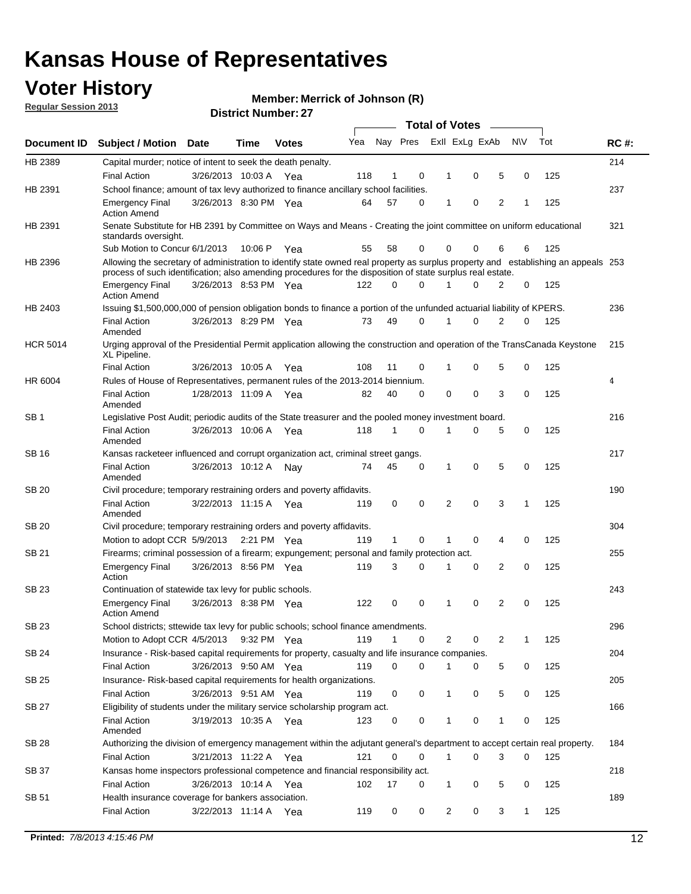## **Voter History**

**Merrick of Johnson (R)**

**Regular Session 2013**

|                 |                                                                                                                                                                                                                                                  |                       |             |              |     |              |          | <b>Total of Votes</b> |   |   |              |     |             |
|-----------------|--------------------------------------------------------------------------------------------------------------------------------------------------------------------------------------------------------------------------------------------------|-----------------------|-------------|--------------|-----|--------------|----------|-----------------------|---|---|--------------|-----|-------------|
| Document ID     | Subject / Motion Date                                                                                                                                                                                                                            |                       | Time        | <b>Votes</b> | Yea | Nay Pres     |          | Exll ExLg ExAb        |   |   | <b>NV</b>    | Tot | <b>RC#:</b> |
| HB 2389         | Capital murder; notice of intent to seek the death penalty.                                                                                                                                                                                      |                       |             |              |     |              |          |                       |   |   |              |     | 214         |
|                 | <b>Final Action</b>                                                                                                                                                                                                                              | 3/26/2013 10:03 A     |             | Yea          | 118 | 1            | 0        | 1                     | 0 | 5 | 0            | 125 |             |
| HB 2391         | School finance; amount of tax levy authorized to finance ancillary school facilities.                                                                                                                                                            |                       |             |              |     |              |          |                       |   |   |              |     | 237         |
|                 | <b>Emergency Final</b><br><b>Action Amend</b>                                                                                                                                                                                                    | 3/26/2013 8:30 PM Yea |             |              | 64  | 57           | 0        | 1                     | 0 | 2 | 1            | 125 |             |
| HB 2391         | Senate Substitute for HB 2391 by Committee on Ways and Means - Creating the joint committee on uniform educational<br>standards oversight.                                                                                                       |                       |             |              |     |              |          |                       |   |   |              |     | 321         |
|                 | Sub Motion to Concur 6/1/2013                                                                                                                                                                                                                    |                       | 10:06 P     | Yea          | 55  | 58           | 0        | 0                     | 0 | 6 | 6            | 125 |             |
| HB 2396         | Allowing the secretary of administration to identify state owned real property as surplus property and establishing an appeals 253<br>process of such identification; also amending procedures for the disposition of state surplus real estate. |                       |             |              |     |              |          |                       |   |   |              |     |             |
|                 | <b>Emergency Final</b><br>Action Amend                                                                                                                                                                                                           | 3/26/2013 8:53 PM Yea |             |              | 122 | 0            | 0        |                       | 0 | 2 | 0            | 125 |             |
| HB 2403         | Issuing \$1,500,000,000 of pension obligation bonds to finance a portion of the unfunded actuarial liability of KPERS.                                                                                                                           |                       |             |              |     |              |          |                       |   |   |              |     | 236         |
|                 | <b>Final Action</b><br>Amended                                                                                                                                                                                                                   | 3/26/2013 8:29 PM Yea |             |              | 73  | 49           | 0        | 1                     | 0 | 2 | 0            | 125 |             |
| <b>HCR 5014</b> | Urging approval of the Presidential Permit application allowing the construction and operation of the TransCanada Keystone<br>XL Pipeline.                                                                                                       |                       |             |              |     |              |          |                       |   |   |              |     | 215         |
|                 | <b>Final Action</b>                                                                                                                                                                                                                              | 3/26/2013 10:05 A     |             | Yea          | 108 | 11           | 0        |                       | 0 | 5 | 0            | 125 |             |
| HR 6004         | Rules of House of Representatives, permanent rules of the 2013-2014 biennium.                                                                                                                                                                    |                       |             |              |     |              |          |                       |   |   |              |     | 4           |
|                 | <b>Final Action</b><br>Amended                                                                                                                                                                                                                   | 1/28/2013 11:09 A     |             | Yea          | 82  | 40           | 0        | 0                     | 0 | 3 | 0            | 125 |             |
| SB 1            | Legislative Post Audit; periodic audits of the State treasurer and the pooled money investment board.                                                                                                                                            |                       |             |              |     |              |          |                       |   |   |              |     | 216         |
|                 | <b>Final Action</b><br>Amended                                                                                                                                                                                                                   | 3/26/2013 10:06 A     |             | Yea          | 118 | 1            | 0        | 1                     | 0 | 5 | 0            | 125 |             |
| SB 16           | Kansas racketeer influenced and corrupt organization act, criminal street gangs.                                                                                                                                                                 |                       |             |              |     |              |          |                       |   |   |              |     | 217         |
|                 | <b>Final Action</b><br>Amended                                                                                                                                                                                                                   | 3/26/2013 10:12 A Nay |             |              | 74  | 45           | 0        | 1                     | 0 | 5 | 0            | 125 |             |
| SB 20           | Civil procedure; temporary restraining orders and poverty affidavits.                                                                                                                                                                            |                       |             |              |     |              |          |                       |   |   |              |     | 190         |
|                 | <b>Final Action</b><br>Amended                                                                                                                                                                                                                   | 3/22/2013 11:15 A     |             | Yea          | 119 | 0            | 0        | 2                     | 0 | 3 | 1            | 125 |             |
| SB 20           | Civil procedure; temporary restraining orders and poverty affidavits.                                                                                                                                                                            |                       |             |              |     |              |          |                       |   |   |              |     | 304         |
|                 | Motion to adopt CCR 5/9/2013                                                                                                                                                                                                                     |                       | 2:21 PM Yea |              | 119 | $\mathbf{1}$ | 0        | 1                     | 0 | 4 | 0            | 125 |             |
| SB 21           | Firearms; criminal possession of a firearm; expungement; personal and family protection act.                                                                                                                                                     |                       |             |              |     |              |          |                       |   |   |              |     | 255         |
|                 | <b>Emergency Final</b><br>Action                                                                                                                                                                                                                 | 3/26/2013 8:56 PM Yea |             |              | 119 | 3            | 0        |                       | 0 | 2 | 0            | 125 |             |
| SB 23           | Continuation of statewide tax levy for public schools.                                                                                                                                                                                           |                       |             |              |     |              |          |                       |   |   |              |     | 243         |
|                 | <b>Emergency Final</b><br><b>Action Amend</b>                                                                                                                                                                                                    | 3/26/2013 8:38 PM Yea |             |              | 122 | 0            | 0        | 1                     | 0 | 2 | 0            | 125 |             |
| <b>SB 23</b>    | School districts; sttewide tax levy for public schools; school finance amendments.                                                                                                                                                               |                       |             |              |     |              |          |                       |   |   |              |     | 296         |
|                 | Motion to Adopt CCR 4/5/2013 9:32 PM Yea                                                                                                                                                                                                         |                       |             |              | 119 | 1            | 0        | 2                     | 0 | 2 | 1            | 125 |             |
| <b>SB 24</b>    | Insurance - Risk-based capital requirements for property, casualty and life insurance companies.                                                                                                                                                 |                       |             |              |     |              |          |                       |   |   |              |     | 204         |
|                 | <b>Final Action</b>                                                                                                                                                                                                                              | 3/26/2013 9:50 AM Yea |             |              | 119 | 0            | 0        |                       | 0 | 5 | 0            | 125 |             |
| SB 25           | Insurance-Risk-based capital requirements for health organizations.                                                                                                                                                                              |                       |             |              |     |              |          |                       |   |   |              |     | 205         |
|                 | <b>Final Action</b>                                                                                                                                                                                                                              | 3/26/2013 9:51 AM Yea |             |              | 119 | 0            | 0        | 1                     | 0 | 5 | 0            | 125 |             |
| SB 27           | Eligibility of students under the military service scholarship program act.                                                                                                                                                                      |                       |             |              |     |              |          |                       |   |   |              |     | 166         |
|                 | <b>Final Action</b><br>Amended                                                                                                                                                                                                                   | 3/19/2013 10:35 A Yea |             |              | 123 | 0            | 0        |                       | 0 | 1 | 0            | 125 |             |
| SB 28           | Authorizing the division of emergency management within the adjutant general's department to accept certain real property.                                                                                                                       |                       |             |              |     |              |          |                       |   |   |              |     | 184         |
|                 | <b>Final Action</b>                                                                                                                                                                                                                              | 3/21/2013 11:22 A Yea |             |              | 121 | 0            | $\Omega$ | 1                     | 0 | 3 | $\Omega$     | 125 |             |
| SB 37           | Kansas home inspectors professional competence and financial responsibility act.                                                                                                                                                                 |                       |             |              |     |              |          |                       |   |   |              |     | 218         |
|                 | <b>Final Action</b>                                                                                                                                                                                                                              | 3/26/2013 10:14 A Yea |             |              | 102 | 17           | 0        | 1                     | 0 | 5 | 0            | 125 |             |
| SB 51           | Health insurance coverage for bankers association.                                                                                                                                                                                               |                       |             |              |     |              |          |                       |   |   |              |     | 189         |
|                 | <b>Final Action</b>                                                                                                                                                                                                                              | 3/22/2013 11:14 A Yea |             |              | 119 | 0            | 0        | 2                     | 0 | 3 | $\mathbf{1}$ | 125 |             |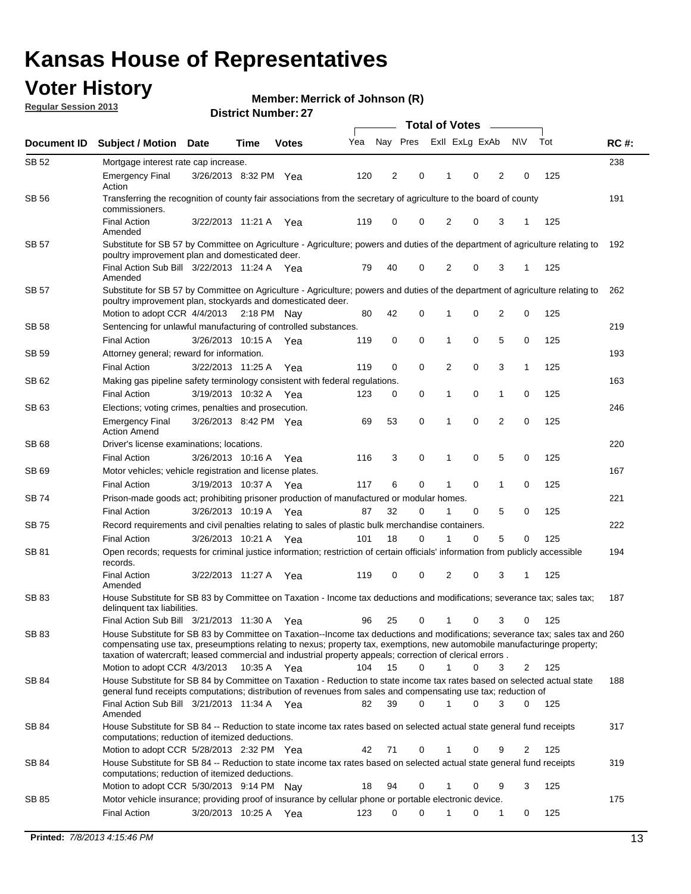## **Voter History**

**Merrick of Johnson (R)**

**Regular Session 2013**

|              |                                                                                                                                                                                                                                            |                       |             |              |     | <b>Total of Votes</b> |             |                |   |                |             |     |             |  |
|--------------|--------------------------------------------------------------------------------------------------------------------------------------------------------------------------------------------------------------------------------------------|-----------------------|-------------|--------------|-----|-----------------------|-------------|----------------|---|----------------|-------------|-----|-------------|--|
| Document ID  | <b>Subject / Motion Date</b>                                                                                                                                                                                                               |                       | Time        | <b>Votes</b> | Yea | Nay Pres              |             | Exll ExLg ExAb |   |                | <b>NV</b>   | Tot | <b>RC#:</b> |  |
| SB 52        | Mortgage interest rate cap increase.                                                                                                                                                                                                       |                       |             |              |     |                       |             |                |   |                |             |     | 238         |  |
|              | <b>Emergency Final</b><br>Action                                                                                                                                                                                                           | 3/26/2013 8:32 PM Yea |             |              | 120 | 2                     | 0           |                | 0 | 2              | 0           | 125 |             |  |
| SB 56        | Transferring the recognition of county fair associations from the secretary of agriculture to the board of county<br>commissioners.                                                                                                        |                       |             |              |     |                       |             |                |   |                |             |     | 191         |  |
|              | <b>Final Action</b><br>Amended                                                                                                                                                                                                             | 3/22/2013 11:21 A     |             | Yea          | 119 | 0                     | 0           | 2              | 0 | 3              | 1           | 125 |             |  |
| SB 57        | Substitute for SB 57 by Committee on Agriculture - Agriculture; powers and duties of the department of agriculture relating to                                                                                                             |                       |             |              |     |                       |             |                |   |                |             |     | 192         |  |
|              | poultry improvement plan and domesticated deer.<br>Final Action Sub Bill 3/22/2013 11:24 A Yea<br>Amended                                                                                                                                  |                       |             |              | 79  | 40                    | 0           | 2              | 0 | 3              | 1           | 125 |             |  |
| SB 57        | Substitute for SB 57 by Committee on Agriculture - Agriculture; powers and duties of the department of agriculture relating to<br>poultry improvement plan, stockyards and domesticated deer.                                              |                       |             |              |     |                       |             |                |   |                |             |     | 262         |  |
|              | Motion to adopt CCR 4/4/2013 2:18 PM Nay                                                                                                                                                                                                   |                       |             |              | 80  | 42                    | 0           | 1              | 0 | 2              | 0           | 125 |             |  |
| SB 58        | Sentencing for unlawful manufacturing of controlled substances.                                                                                                                                                                            |                       |             |              |     |                       |             |                |   |                |             |     | 219         |  |
|              | <b>Final Action</b>                                                                                                                                                                                                                        | 3/26/2013 10:15 A     |             | Yea          | 119 | 0                     | 0           | 1              | 0 | 5              | 0           | 125 |             |  |
| <b>SB 59</b> | Attorney general; reward for information.                                                                                                                                                                                                  |                       |             |              |     |                       |             |                |   |                |             |     | 193         |  |
|              | <b>Final Action</b>                                                                                                                                                                                                                        | 3/22/2013 11:25 A     |             | Yea          | 119 | 0                     | 0           | 2              | 0 | 3              | 1           | 125 |             |  |
| SB 62        | Making gas pipeline safety terminology consistent with federal regulations.                                                                                                                                                                |                       |             |              |     |                       |             |                |   |                |             |     | 163         |  |
|              | <b>Final Action</b>                                                                                                                                                                                                                        | 3/19/2013 10:32 A     |             | Yea          | 123 | 0                     | 0           | 1              | 0 | 1              | 0           | 125 |             |  |
| SB 63        | Elections; voting crimes, penalties and prosecution.                                                                                                                                                                                       |                       |             |              |     |                       |             |                |   |                |             |     | 246         |  |
|              | <b>Emergency Final</b><br><b>Action Amend</b>                                                                                                                                                                                              | 3/26/2013 8:42 PM Yea |             |              | 69  | 53                    | $\mathbf 0$ | 1              | 0 | $\overline{2}$ | $\mathbf 0$ | 125 |             |  |
| SB 68        | Driver's license examinations; locations.                                                                                                                                                                                                  |                       |             |              |     |                       |             |                |   |                |             |     | 220         |  |
|              | <b>Final Action</b>                                                                                                                                                                                                                        | 3/26/2013 10:16 A     |             | Yea          | 116 | 3                     | 0           | 1              | 0 | 5              | 0           | 125 |             |  |
| SB 69        | Motor vehicles; vehicle registration and license plates.                                                                                                                                                                                   |                       |             |              |     |                       |             |                |   |                |             |     | 167         |  |
|              | <b>Final Action</b>                                                                                                                                                                                                                        | 3/19/2013 10:37 A     |             | Yea          | 117 | 6                     | 0           | 1              | 0 | $\mathbf{1}$   | 0           | 125 |             |  |
| SB 74        | Prison-made goods act; prohibiting prisoner production of manufactured or modular homes.                                                                                                                                                   |                       |             |              |     |                       |             |                |   |                |             |     | 221         |  |
|              | <b>Final Action</b>                                                                                                                                                                                                                        | 3/26/2013 10:19 A     |             | Yea          | 87  | 32                    | 0           | 1              | 0 | 5              | 0           | 125 |             |  |
| SB 75        | Record requirements and civil penalties relating to sales of plastic bulk merchandise containers.                                                                                                                                          |                       |             |              |     |                       |             |                |   |                |             |     | 222         |  |
|              | <b>Final Action</b>                                                                                                                                                                                                                        | 3/26/2013 10:21 A     |             | Yea          | 101 | 18                    | 0           | 1              | 0 | 5              | 0           | 125 |             |  |
| SB 81        | Open records; requests for criminal justice information; restriction of certain officials' information from publicly accessible<br>records.                                                                                                |                       |             |              |     |                       |             |                |   |                |             |     | 194         |  |
|              | <b>Final Action</b><br>Amended                                                                                                                                                                                                             | 3/22/2013 11:27 A     |             | Yea          | 119 | 0                     | 0           | 2              | 0 | 3              |             | 125 |             |  |
| <b>SB 83</b> | House Substitute for SB 83 by Committee on Taxation - Income tax deductions and modifications; severance tax; sales tax;<br>delinquent tax liabilities.<br>Final Action Sub Bill 3/21/2013 11:30 A Yea                                     |                       |             |              | 96  | 25                    | 0           | 1              | 0 | 3              | 0           | 125 | 187         |  |
| SB 83        | House Substitute for SB 83 by Committee on Taxation--Income tax deductions and modifications; severance tax; sales tax and 260                                                                                                             |                       |             |              |     |                       |             |                |   |                |             |     |             |  |
|              | compensating use tax, preseumptions relating to nexus; property tax, exemptions, new automobile manufacturinge property;<br>taxation of watercraft; leased commercial and industrial property appeals; correction of clerical errors.      |                       |             |              |     |                       |             |                |   |                |             |     |             |  |
|              | Motion to adopt CCR 4/3/2013                                                                                                                                                                                                               |                       | 10:35 A Yea |              | 104 | 15                    | 0           | $\mathbf{1}$   | 0 | 3              | 2           | 125 |             |  |
| SB 84        | House Substitute for SB 84 by Committee on Taxation - Reduction to state income tax rates based on selected actual state<br>general fund receipts computations; distribution of revenues from sales and compensating use tax; reduction of |                       |             |              |     |                       | $\Omega$    |                | 0 |                |             |     | 188         |  |
|              | Final Action Sub Bill 3/21/2013 11:34 A Yea<br>Amended                                                                                                                                                                                     |                       |             |              | 82  | 39                    |             |                |   | 3              | $\Omega$    | 125 |             |  |
| SB 84        | House Substitute for SB 84 -- Reduction to state income tax rates based on selected actual state general fund receipts<br>computations; reduction of itemized deductions.<br>Motion to adopt CCR 5/28/2013 2:32 PM Yea                     |                       |             |              | 42  | 71                    | 0           |                | 0 | 9              | 2           | 125 | 317         |  |
| SB 84        | House Substitute for SB 84 -- Reduction to state income tax rates based on selected actual state general fund receipts                                                                                                                     |                       |             |              |     |                       |             |                |   |                |             |     | 319         |  |
|              | computations; reduction of itemized deductions.<br>Motion to adopt CCR 5/30/2013 9:14 PM Nay                                                                                                                                               |                       |             |              | 18  | 94                    | 0           |                | 0 | 9              | 3           | 125 |             |  |
| SB 85        | Motor vehicle insurance; providing proof of insurance by cellular phone or portable electronic device.                                                                                                                                     |                       |             |              |     |                       |             |                |   |                |             |     | 175         |  |
|              | <b>Final Action</b>                                                                                                                                                                                                                        | 3/20/2013 10:25 A Yea |             |              | 123 | 0                     | $\Omega$    |                | 0 | 1              | 0           | 125 |             |  |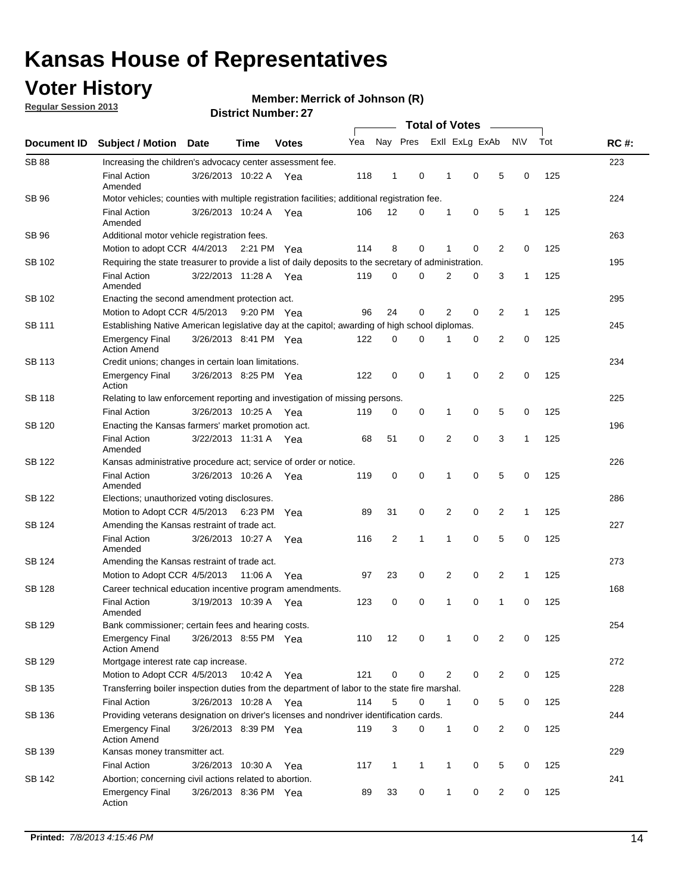## **Voter History**

**Regular Session 2013**

**Member: Merrick of Johnson (R)** 

| Document ID   | <b>Subject / Motion Date</b>                                                                          |                                                                                                         | Time    | <b>Votes</b> | Yea | Nay Pres       |              |   | Exll ExLg ExAb |                | <b>NV</b>    | Tot | <b>RC#:</b> |
|---------------|-------------------------------------------------------------------------------------------------------|---------------------------------------------------------------------------------------------------------|---------|--------------|-----|----------------|--------------|---|----------------|----------------|--------------|-----|-------------|
| <b>SB 88</b>  | Increasing the children's advocacy center assessment fee.                                             |                                                                                                         |         |              |     |                |              |   |                |                |              |     | 223         |
|               | <b>Final Action</b><br>Amended                                                                        | 3/26/2013 10:22 A Yea                                                                                   |         |              | 118 | $\mathbf{1}$   | 0            | 1 | 0              | 5              | 0            | 125 |             |
| SB 96         | Motor vehicles; counties with multiple registration facilities; additional registration fee.          |                                                                                                         |         |              |     |                |              |   |                |                |              |     | 224         |
|               | <b>Final Action</b><br>Amended                                                                        | 3/26/2013 10:24 A Yea                                                                                   |         |              | 106 | 12             | 0            | 1 | 0              | 5              | 1            | 125 |             |
| SB 96         | Additional motor vehicle registration fees.                                                           |                                                                                                         |         |              |     |                |              |   |                |                |              |     | 263         |
|               | Motion to adopt CCR 4/4/2013 2:21 PM Yea                                                              |                                                                                                         |         |              | 114 | 8              | 0            | 1 | 0              | 2              | 0            | 125 |             |
| SB 102        | Requiring the state treasurer to provide a list of daily deposits to the secretary of administration. |                                                                                                         |         |              |     |                |              |   |                |                |              |     | 195         |
|               | <b>Final Action</b><br>Amended                                                                        | 3/22/2013 11:28 A Yea                                                                                   |         |              | 119 | 0              | 0            | 2 | 0              | 3              | 1            | 125 |             |
| SB 102        | Enacting the second amendment protection act.                                                         |                                                                                                         |         |              |     |                |              |   |                |                |              |     | 295         |
|               | Motion to Adopt CCR 4/5/2013                                                                          |                                                                                                         |         | 9:20 PM Yea  | 96  | 24             | 0            | 2 | 0              | $\overline{2}$ | 1            | 125 |             |
| SB 111        | Establishing Native American legislative day at the capitol; awarding of high school diplomas.        |                                                                                                         |         |              |     |                |              |   |                |                |              |     |             |
|               | <b>Emergency Final</b><br><b>Action Amend</b>                                                         | 3/26/2013 8:41 PM Yea                                                                                   |         |              | 122 | 0              | 0            | 1 | 0              | 2              | 0            | 125 |             |
| SB 113        | Credit unions; changes in certain loan limitations.                                                   |                                                                                                         |         |              |     |                |              |   |                |                |              |     | 234         |
|               | <b>Emergency Final</b><br>Action                                                                      | 3/26/2013 8:25 PM Yea                                                                                   |         |              | 122 | 0              | 0            | 1 | 0              | 2              | 0            | 125 |             |
| SB 118        | Relating to law enforcement reporting and investigation of missing persons.                           |                                                                                                         |         |              |     |                |              |   |                |                |              |     | 225         |
|               | <b>Final Action</b>                                                                                   | 3/26/2013 10:25 A Yea                                                                                   |         |              | 119 | 0              | 0            | 1 | 0              | 5              | 0            | 125 |             |
| SB 120        | Enacting the Kansas farmers' market promotion act.                                                    |                                                                                                         |         |              |     |                |              |   |                |                |              |     | 196         |
|               | <b>Final Action</b><br>Amended                                                                        | 3/22/2013 11:31 A Yea                                                                                   |         |              | 68  | 51             | 0            | 2 | $\mathbf 0$    | 3              | $\mathbf{1}$ | 125 |             |
| SB 122        | Kansas administrative procedure act; service of order or notice.                                      |                                                                                                         |         |              |     |                |              |   |                |                |              |     | 226         |
|               | <b>Final Action</b><br>Amended                                                                        | 3/26/2013 10:26 A                                                                                       |         | Yea          | 119 | 0              | 0            | 1 | $\mathbf 0$    | 5              | 0            | 125 |             |
| SB 122        | Elections; unauthorized voting disclosures.                                                           |                                                                                                         |         |              |     |                |              |   |                |                |              |     |             |
|               | Motion to Adopt CCR 4/5/2013                                                                          |                                                                                                         | 6:23 PM | Yea          | 89  | 31             | 0            | 2 | 0              | 2              | 1            | 125 |             |
| SB 124        | Amending the Kansas restraint of trade act.                                                           |                                                                                                         |         |              |     |                |              |   |                |                |              |     | 227         |
|               | <b>Final Action</b><br>Amended                                                                        | 3/26/2013 10:27 A                                                                                       |         | Yea          | 116 | $\overline{2}$ | 1            | 1 | 0              | 5              | 0            | 125 |             |
| SB 124        | Amending the Kansas restraint of trade act.                                                           |                                                                                                         |         |              |     |                |              |   |                |                |              |     | 273         |
|               | Motion to Adopt CCR 4/5/2013                                                                          |                                                                                                         | 11:06 A | Yea          | 97  | 23             | 0            | 2 | 0              | $\overline{2}$ | $\mathbf{1}$ | 125 |             |
| <b>SB 128</b> | Career technical education incentive program amendments.                                              |                                                                                                         |         |              |     |                |              |   |                |                |              |     | 168         |
|               | <b>Final Action</b><br>Amended                                                                        | 3/19/2013 10:39 A Yea                                                                                   |         |              | 123 | 0              | 0            | 1 | 0              | 1              | 0            | 125 |             |
| <b>SB 129</b> | Bank commissioner; certain fees and hearing costs.                                                    |                                                                                                         |         |              |     |                |              |   |                |                |              |     | 254         |
|               | <b>Emergency Final</b><br><b>Action Amend</b>                                                         | 3/26/2013 8:55 PM Yea                                                                                   |         |              | 110 | 12             | 0            | 1 | 0              | 2              | 0            | 125 |             |
| SB 129        | Mortgage interest rate cap increase.                                                                  |                                                                                                         |         |              |     |                |              |   |                |                |              |     | 272         |
|               |                                                                                                       | Motion to Adopt CCR 4/5/2013<br>121<br>0<br>2<br>0<br>$\overline{c}$<br>0<br>125<br>10:42 A<br>0<br>Yea |         |              |     |                |              |   |                |                |              |     |             |
| SB 135        | Transferring boiler inspection duties from the department of labor to the state fire marshal.         |                                                                                                         |         |              |     |                |              |   |                |                |              |     | 228         |
|               | <b>Final Action</b>                                                                                   | 3/26/2013 10:28 A Yea                                                                                   |         |              | 114 | 5              | 0            | 1 | 0              | 5              | 0            | 125 |             |
| SB 136        | Providing veterans designation on driver's licenses and nondriver identification cards.               |                                                                                                         |         |              |     |                |              |   |                |                |              |     | 244         |
|               | <b>Emergency Final</b><br><b>Action Amend</b>                                                         | 3/26/2013 8:39 PM Yea                                                                                   |         |              | 119 | 3              | 0            | 1 | 0              | $\overline{2}$ | 0            | 125 |             |
| SB 139        | Kansas money transmitter act.                                                                         |                                                                                                         |         |              |     |                |              |   |                |                |              |     | 229         |
|               | <b>Final Action</b>                                                                                   | 3/26/2013 10:30 A                                                                                       |         | Yea          | 117 | $\mathbf{1}$   | $\mathbf{1}$ | 1 | 0              | 5              | 0            | 125 |             |
| SB 142        | Abortion; concerning civil actions related to abortion.                                               |                                                                                                         |         |              |     |                |              |   |                |                |              |     | 241         |
|               | <b>Emergency Final</b><br>Action                                                                      | 3/26/2013 8:36 PM Yea                                                                                   |         |              | 89  | 33             | 0            | 1 | 0              | 2              | 0            | 125 |             |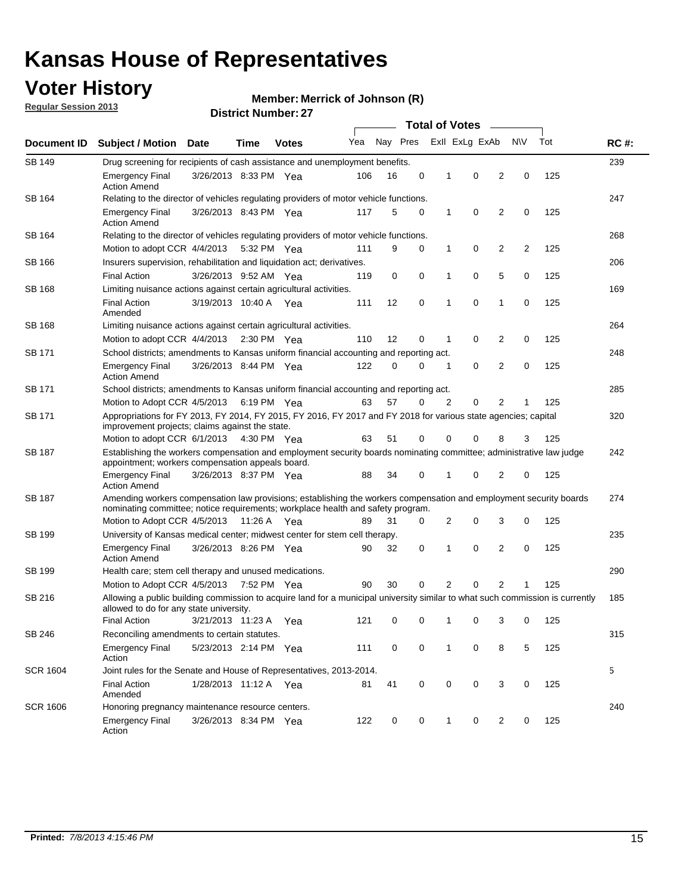## **Voter History**

**Member: Merrick of Johnson (R)** 

**Regular Session 2013**

|                 |                                                                                                                                                                          |                                                                                                                                                                                                       |             |                       | <b>Total of Votes</b><br>$\sim$ |          |   |              |                |                |                |     |             |  |
|-----------------|--------------------------------------------------------------------------------------------------------------------------------------------------------------------------|-------------------------------------------------------------------------------------------------------------------------------------------------------------------------------------------------------|-------------|-----------------------|---------------------------------|----------|---|--------------|----------------|----------------|----------------|-----|-------------|--|
| Document ID     | <b>Subject / Motion</b>                                                                                                                                                  | Date                                                                                                                                                                                                  | Time        | <b>Votes</b>          | Yea                             | Nay Pres |   |              | Exll ExLg ExAb |                | N\V            | Tot | <b>RC#:</b> |  |
| <b>SB 149</b>   | 239<br>Drug screening for recipients of cash assistance and unemployment benefits.                                                                                       |                                                                                                                                                                                                       |             |                       |                                 |          |   |              |                |                |                |     |             |  |
|                 | <b>Emergency Final</b><br><b>Action Amend</b>                                                                                                                            | 3/26/2013 8:33 PM Yea                                                                                                                                                                                 |             |                       | 106                             | 16       | 0 | 1            | 0              | 2              | 0              | 125 |             |  |
| SB 164          | Relating to the director of vehicles regulating providers of motor vehicle functions.                                                                                    |                                                                                                                                                                                                       |             |                       |                                 |          |   |              |                |                |                |     | 247         |  |
|                 | <b>Emergency Final</b><br><b>Action Amend</b>                                                                                                                            | 3/26/2013 8:43 PM Yea                                                                                                                                                                                 |             |                       | 117                             | 5        | 0 | $\mathbf{1}$ | 0              | 2              | 0              | 125 |             |  |
| SB 164          | Relating to the director of vehicles regulating providers of motor vehicle functions.                                                                                    |                                                                                                                                                                                                       |             |                       |                                 |          |   |              |                |                |                |     | 268         |  |
|                 | Motion to adopt CCR 4/4/2013 5:32 PM Yea                                                                                                                                 |                                                                                                                                                                                                       |             |                       | 111                             | 9        | 0 | $\mathbf{1}$ | 0              | 2              | $\overline{2}$ | 125 |             |  |
| SB 166          | Insurers supervision, rehabilitation and liquidation act; derivatives.                                                                                                   |                                                                                                                                                                                                       |             |                       |                                 |          |   |              |                |                |                |     | 206         |  |
|                 | <b>Final Action</b>                                                                                                                                                      | 3/26/2013 9:52 AM Yea                                                                                                                                                                                 |             |                       | 119                             | 0        | 0 | 1            | 0              | 5              | 0              | 125 |             |  |
| <b>SB 168</b>   | Limiting nuisance actions against certain agricultural activities.                                                                                                       |                                                                                                                                                                                                       |             |                       |                                 |          |   |              |                |                |                |     | 169         |  |
|                 | <b>Final Action</b><br>Amended                                                                                                                                           | 3/19/2013 10:40 A Yea                                                                                                                                                                                 |             |                       | 111                             | 12       | 0 | 1            | $\mathbf 0$    | 1              | 0              | 125 |             |  |
| <b>SB 168</b>   | Limiting nuisance actions against certain agricultural activities.                                                                                                       |                                                                                                                                                                                                       |             |                       |                                 |          |   |              |                |                |                |     | 264         |  |
|                 | Motion to adopt CCR 4/4/2013                                                                                                                                             |                                                                                                                                                                                                       |             | $2:30 \text{ PM}$ Yea | 110                             | 12       | 0 | 1            | 0              | 2              | 0              | 125 |             |  |
| SB 171          | School districts; amendments to Kansas uniform financial accounting and reporting act.                                                                                   |                                                                                                                                                                                                       |             |                       |                                 |          |   |              |                |                |                |     | 248         |  |
|                 | <b>Emergency Final</b><br><b>Action Amend</b>                                                                                                                            | 3/26/2013 8:44 PM Yea                                                                                                                                                                                 |             |                       | 122                             | 0        | 0 | 1            | 0              | 2              | 0              | 125 |             |  |
| SB 171          | School districts; amendments to Kansas uniform financial accounting and reporting act.                                                                                   |                                                                                                                                                                                                       |             |                       |                                 |          |   |              |                |                |                |     | 285         |  |
|                 | Motion to Adopt CCR 4/5/2013 6:19 PM Yea                                                                                                                                 |                                                                                                                                                                                                       |             |                       | 63                              | 57       | 0 | 2            | 0              | $\overline{2}$ | 1              | 125 |             |  |
| SB 171          | Appropriations for FY 2013, FY 2014, FY 2015, FY 2016, FY 2017 and FY 2018 for various state agencies; capital<br>improvement projects; claims against the state.        |                                                                                                                                                                                                       |             |                       |                                 |          |   |              |                |                |                |     | 320         |  |
|                 | Motion to adopt CCR 6/1/2013 4:30 PM Yea                                                                                                                                 |                                                                                                                                                                                                       |             |                       | 63                              | 51       | 0 | 0            | 0              | 8              | 3              | 125 | 242         |  |
| SB 187          |                                                                                                                                                                          | Establishing the workers compensation and employment security boards nominating committee; administrative law judge<br>appointment; workers compensation appeals board.                               |             |                       |                                 |          |   |              |                |                |                |     |             |  |
|                 | <b>Emergency Final</b><br><b>Action Amend</b>                                                                                                                            | 3/26/2013 8:37 PM Yea                                                                                                                                                                                 |             |                       | 88                              | 34       | 0 |              | 0              | 2              | 0              | 125 |             |  |
| SB 187          |                                                                                                                                                                          | Amending workers compensation law provisions; establishing the workers compensation and employment security boards<br>nominating committee; notice requirements; workplace health and safety program. |             |                       |                                 |          |   |              |                |                |                |     |             |  |
|                 | Motion to Adopt CCR 4/5/2013 11:26 A Yea                                                                                                                                 |                                                                                                                                                                                                       |             |                       | 89                              | 31       | 0 | 2            | 0              | 3              | 0              | 125 |             |  |
| SB 199          | University of Kansas medical center; midwest center for stem cell therapy.                                                                                               |                                                                                                                                                                                                       |             |                       |                                 |          |   |              |                |                |                | 235 |             |  |
|                 | <b>Emergency Final</b><br><b>Action Amend</b>                                                                                                                            | 3/26/2013 8:26 PM Yea                                                                                                                                                                                 |             |                       | 90                              | 32       | 0 | 1            | 0              | $\overline{2}$ | 0              | 125 |             |  |
| SB 199          | Health care; stem cell therapy and unused medications.                                                                                                                   |                                                                                                                                                                                                       |             |                       |                                 |          |   |              |                |                |                |     | 290         |  |
|                 | Motion to Adopt CCR 4/5/2013                                                                                                                                             |                                                                                                                                                                                                       | 7:52 PM Yea |                       | 90                              | 30       | 0 | 2            | 0              | 2              | 1              | 125 |             |  |
| SB 216          | Allowing a public building commission to acquire land for a municipal university similar to what such commission is currently<br>allowed to do for any state university. |                                                                                                                                                                                                       |             |                       |                                 |          |   |              |                |                |                |     | 185         |  |
|                 | <b>Final Action</b>                                                                                                                                                      | 3/21/2013 11:23 A                                                                                                                                                                                     |             | Yea                   | 121                             | 0        | 0 | 1            | 0              | 3              | 0              | 125 |             |  |
| SB 246          | Reconciling amendments to certain statutes.                                                                                                                              |                                                                                                                                                                                                       |             |                       |                                 |          |   |              |                |                |                |     | 315         |  |
|                 | <b>Emergency Final</b><br>Action                                                                                                                                         | 5/23/2013 2:14 PM Yea                                                                                                                                                                                 |             |                       | 111                             | 0        | 0 | 1            | 0              | 8              | 5              | 125 |             |  |
| <b>SCR 1604</b> | Joint rules for the Senate and House of Representatives, 2013-2014.                                                                                                      |                                                                                                                                                                                                       |             |                       |                                 |          |   |              |                |                |                |     | 5           |  |
|                 | <b>Final Action</b><br>Amended                                                                                                                                           | 1/28/2013 11:12 A Yea                                                                                                                                                                                 |             |                       | 81                              | 41       | 0 | 0            | 0              | 3              | 0              | 125 |             |  |
| <b>SCR 1606</b> | Honoring pregnancy maintenance resource centers.                                                                                                                         |                                                                                                                                                                                                       |             |                       |                                 |          |   |              |                |                |                |     | 240         |  |
|                 | <b>Emergency Final</b><br>Action                                                                                                                                         | 3/26/2013 8:34 PM Yea                                                                                                                                                                                 |             |                       | 122                             | 0        | 0 | 1            | 0              | 2              | 0              | 125 |             |  |